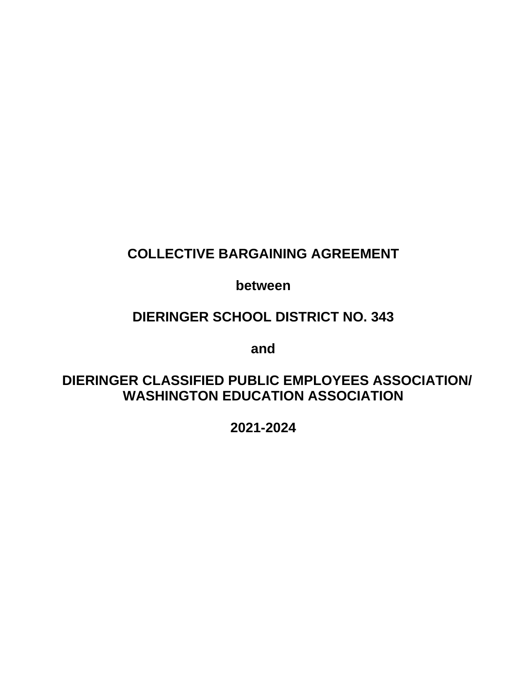# **COLLECTIVE BARGAINING AGREEMENT**

**between**

## **DIERINGER SCHOOL DISTRICT NO. 343**

**and**

## **DIERINGER CLASSIFIED PUBLIC EMPLOYEES ASSOCIATION/ WASHINGTON EDUCATION ASSOCIATION**

**2021-2024**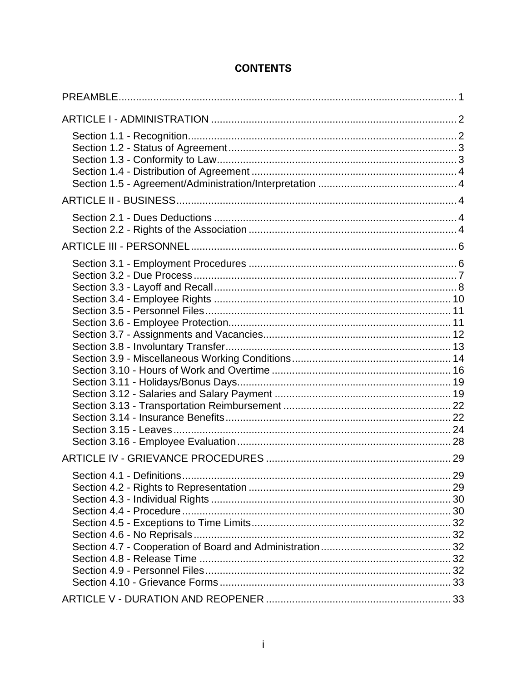| .29 |
|-----|
|     |

## **CONTENTS**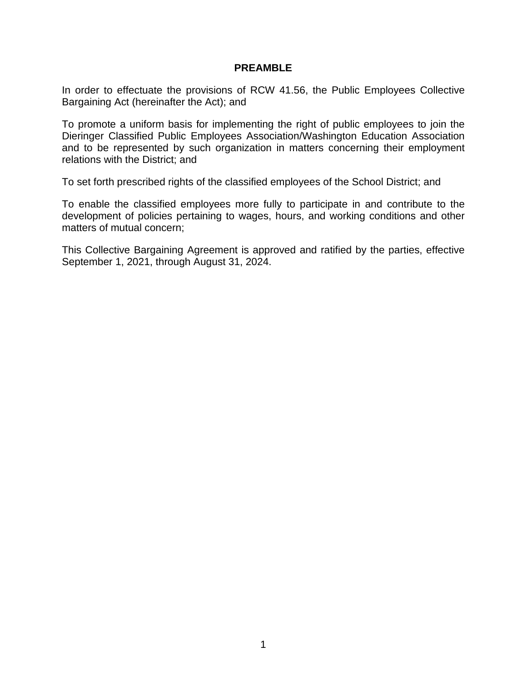#### **PREAMBLE**

<span id="page-3-0"></span>In order to effectuate the provisions of RCW 41.56, the Public Employees Collective Bargaining Act (hereinafter the Act); and

To promote a uniform basis for implementing the right of public employees to join the Dieringer Classified Public Employees Association/Washington Education Association and to be represented by such organization in matters concerning their employment relations with the District; and

To set forth prescribed rights of the classified employees of the School District; and

To enable the classified employees more fully to participate in and contribute to the development of policies pertaining to wages, hours, and working conditions and other matters of mutual concern;

This Collective Bargaining Agreement is approved and ratified by the parties, effective September 1, 2021, through August 31, 2024.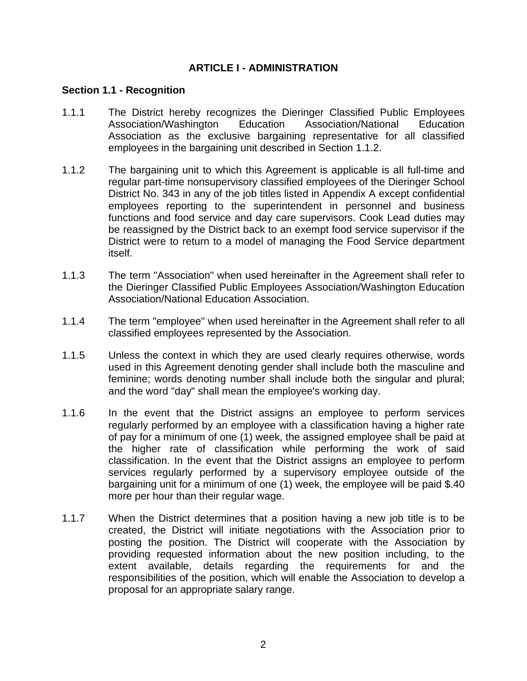### **ARTICLE I - ADMINISTRATION**

#### <span id="page-4-1"></span><span id="page-4-0"></span>**Section 1.1 - Recognition**

- 1.1.1 The District hereby recognizes the Dieringer Classified Public Employees Association/Washington Education Association/National Education Association as the exclusive bargaining representative for all classified employees in the bargaining unit described in Section 1.1.2.
- 1.1.2 The bargaining unit to which this Agreement is applicable is all full-time and regular part-time nonsupervisory classified employees of the Dieringer School District No. 343 in any of the job titles listed in Appendix A except confidential employees reporting to the superintendent in personnel and business functions and food service and day care supervisors. Cook Lead duties may be reassigned by the District back to an exempt food service supervisor if the District were to return to a model of managing the Food Service department itself.
- 1.1.3 The term "Association" when used hereinafter in the Agreement shall refer to the Dieringer Classified Public Employees Association/Washington Education Association/National Education Association.
- 1.1.4 The term "employee" when used hereinafter in the Agreement shall refer to all classified employees represented by the Association.
- 1.1.5 Unless the context in which they are used clearly requires otherwise, words used in this Agreement denoting gender shall include both the masculine and feminine; words denoting number shall include both the singular and plural; and the word "day" shall mean the employee's working day.
- 1.1.6 In the event that the District assigns an employee to perform services regularly performed by an employee with a classification having a higher rate of pay for a minimum of one (1) week, the assigned employee shall be paid at the higher rate of classification while performing the work of said classification. In the event that the District assigns an employee to perform services regularly performed by a supervisory employee outside of the bargaining unit for a minimum of one (1) week, the employee will be paid \$.40 more per hour than their regular wage.
- 1.1.7 When the District determines that a position having a new job title is to be created, the District will initiate negotiations with the Association prior to posting the position. The District will cooperate with the Association by providing requested information about the new position including, to the extent available, details regarding the requirements for and the responsibilities of the position, which will enable the Association to develop a proposal for an appropriate salary range.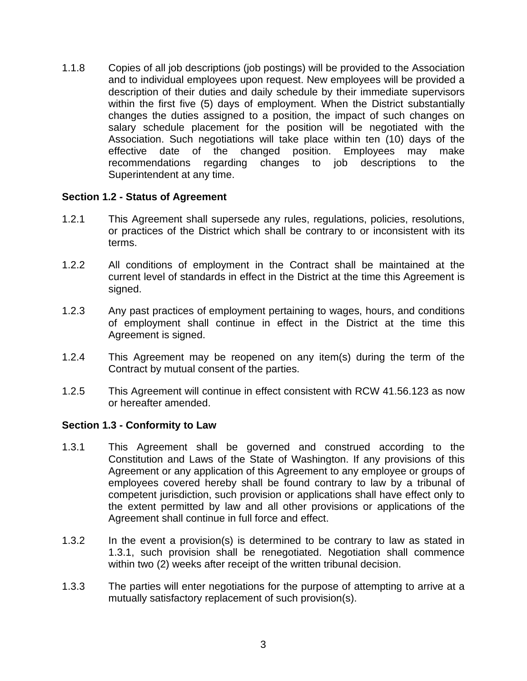1.1.8 Copies of all job descriptions (job postings) will be provided to the Association and to individual employees upon request. New employees will be provided a description of their duties and daily schedule by their immediate supervisors within the first five (5) days of employment. When the District substantially changes the duties assigned to a position, the impact of such changes on salary schedule placement for the position will be negotiated with the Association. Such negotiations will take place within ten (10) days of the effective date of the changed position. Employees may make recommendations regarding changes to job descriptions to the Superintendent at any time.

#### <span id="page-5-0"></span>**Section 1.2 - Status of Agreement**

- 1.2.1 This Agreement shall supersede any rules, regulations, policies, resolutions, or practices of the District which shall be contrary to or inconsistent with its terms.
- 1.2.2 All conditions of employment in the Contract shall be maintained at the current level of standards in effect in the District at the time this Agreement is signed.
- 1.2.3 Any past practices of employment pertaining to wages, hours, and conditions of employment shall continue in effect in the District at the time this Agreement is signed.
- 1.2.4 This Agreement may be reopened on any item(s) during the term of the Contract by mutual consent of the parties.
- 1.2.5 This Agreement will continue in effect consistent with RCW 41.56.123 as now or hereafter amended.

#### <span id="page-5-1"></span>**Section 1.3 - Conformity to Law**

- 1.3.1 This Agreement shall be governed and construed according to the Constitution and Laws of the State of Washington. If any provisions of this Agreement or any application of this Agreement to any employee or groups of employees covered hereby shall be found contrary to law by a tribunal of competent jurisdiction, such provision or applications shall have effect only to the extent permitted by law and all other provisions or applications of the Agreement shall continue in full force and effect.
- 1.3.2 In the event a provision(s) is determined to be contrary to law as stated in 1.3.1, such provision shall be renegotiated. Negotiation shall commence within two (2) weeks after receipt of the written tribunal decision.
- 1.3.3 The parties will enter negotiations for the purpose of attempting to arrive at a mutually satisfactory replacement of such provision(s).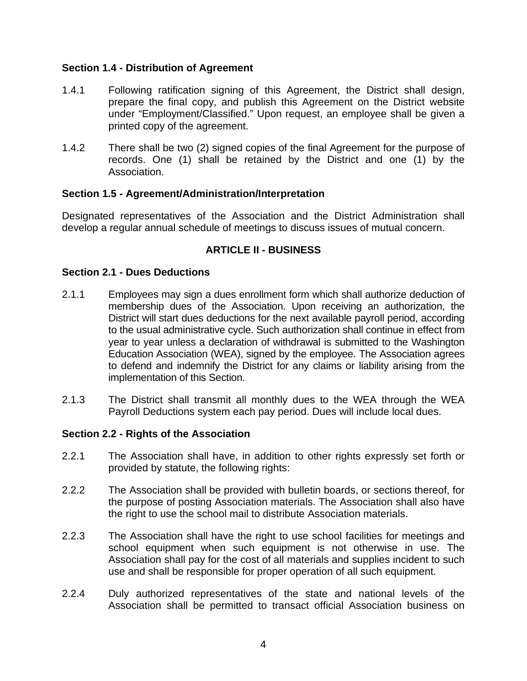## <span id="page-6-0"></span>**Section 1.4 - Distribution of Agreement**

- 1.4.1 Following ratification signing of this Agreement, the District shall design, prepare the final copy, and publish this Agreement on the District website under "Employment/Classified." Upon request, an employee shall be given a printed copy of the agreement.
- 1.4.2 There shall be two (2) signed copies of the final Agreement for the purpose of records. One (1) shall be retained by the District and one (1) by the Association.

#### <span id="page-6-1"></span>**Section 1.5 - Agreement/Administration/Interpretation**

Designated representatives of the Association and the District Administration shall develop a regular annual schedule of meetings to discuss issues of mutual concern.

## **ARTICLE II - BUSINESS**

#### <span id="page-6-3"></span><span id="page-6-2"></span>**Section 2.1 - Dues Deductions**

- 2.1.1 Employees may sign a dues enrollment form which shall authorize deduction of membership dues of the Association. Upon receiving an authorization, the District will start dues deductions for the next available payroll period, according to the usual administrative cycle. Such authorization shall continue in effect from year to year unless a declaration of withdrawal is submitted to the Washington Education Association (WEA), signed by the employee. The Association agrees to defend and indemnify the District for any claims or liability arising from the implementation of this Section.
- 2.1.3 The District shall transmit all monthly dues to the WEA through the WEA Payroll Deductions system each pay period. Dues will include local dues.

#### <span id="page-6-4"></span>**Section 2.2 - Rights of the Association**

- 2.2.1 The Association shall have, in addition to other rights expressly set forth or provided by statute, the following rights:
- 2.2.2 The Association shall be provided with bulletin boards, or sections thereof, for the purpose of posting Association materials. The Association shall also have the right to use the school mail to distribute Association materials.
- 2.2.3 The Association shall have the right to use school facilities for meetings and school equipment when such equipment is not otherwise in use. The Association shall pay for the cost of all materials and supplies incident to such use and shall be responsible for proper operation of all such equipment.
- 2.2.4 Duly authorized representatives of the state and national levels of the Association shall be permitted to transact official Association business on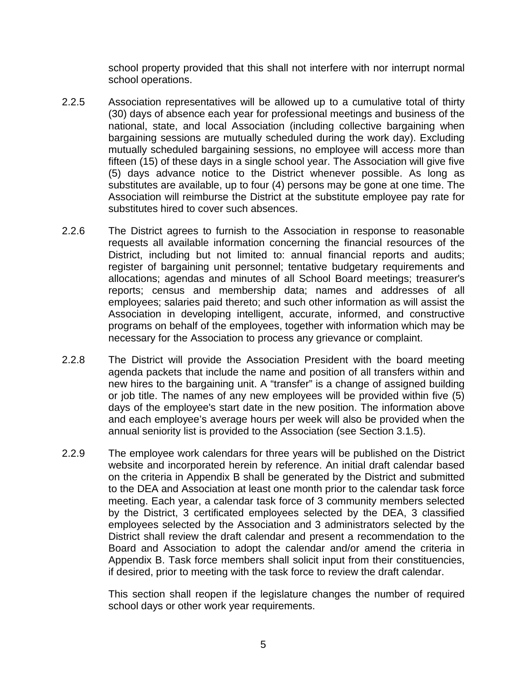school property provided that this shall not interfere with nor interrupt normal school operations.

- 2.2.5 Association representatives will be allowed up to a cumulative total of thirty (30) days of absence each year for professional meetings and business of the national, state, and local Association (including collective bargaining when bargaining sessions are mutually scheduled during the work day). Excluding mutually scheduled bargaining sessions, no employee will access more than fifteen (15) of these days in a single school year. The Association will give five (5) days advance notice to the District whenever possible. As long as substitutes are available, up to four (4) persons may be gone at one time. The Association will reimburse the District at the substitute employee pay rate for substitutes hired to cover such absences.
- 2.2.6 The District agrees to furnish to the Association in response to reasonable requests all available information concerning the financial resources of the District, including but not limited to: annual financial reports and audits; register of bargaining unit personnel; tentative budgetary requirements and allocations; agendas and minutes of all School Board meetings; treasurer's reports; census and membership data; names and addresses of all employees; salaries paid thereto; and such other information as will assist the Association in developing intelligent, accurate, informed, and constructive programs on behalf of the employees, together with information which may be necessary for the Association to process any grievance or complaint.
- 2.2.8 The District will provide the Association President with the board meeting agenda packets that include the name and position of all transfers within and new hires to the bargaining unit. A "transfer" is a change of assigned building or job title. The names of any new employees will be provided within five (5) days of the employee's start date in the new position. The information above and each employee's average hours per week will also be provided when the annual seniority list is provided to the Association (see Section 3.1.5).
- 2.2.9 The employee work calendars for three years will be published on the District website and incorporated herein by reference. An initial draft calendar based on the criteria in Appendix B shall be generated by the District and submitted to the DEA and Association at least one month prior to the calendar task force meeting. Each year, a calendar task force of 3 community members selected by the District, 3 certificated employees selected by the DEA, 3 classified employees selected by the Association and 3 administrators selected by the District shall review the draft calendar and present a recommendation to the Board and Association to adopt the calendar and/or amend the criteria in Appendix B. Task force members shall solicit input from their constituencies, if desired, prior to meeting with the task force to review the draft calendar.

This section shall reopen if the legislature changes the number of required school days or other work year requirements.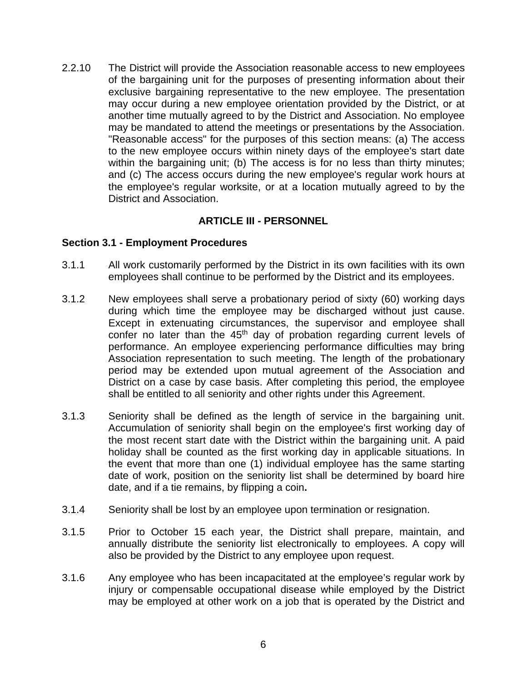2.2.10 The District will provide the Association reasonable access to new employees of the bargaining unit for the purposes of presenting information about their exclusive bargaining representative to the new employee. The presentation may occur during a new employee orientation provided by the District, or at another time mutually agreed to by the District and Association. No employee may be mandated to attend the meetings or presentations by the Association. "Reasonable access" for the purposes of this section means: (a) The access to the new employee occurs within ninety days of the employee's start date within the bargaining unit; (b) The access is for no less than thirty minutes; and (c) The access occurs during the new employee's regular work hours at the employee's regular worksite, or at a location mutually agreed to by the District and Association.

#### **ARTICLE III - PERSONNEL**

#### <span id="page-8-1"></span><span id="page-8-0"></span>**Section 3.1 - Employment Procedures**

- 3.1.1 All work customarily performed by the District in its own facilities with its own employees shall continue to be performed by the District and its employees.
- 3.1.2 New employees shall serve a probationary period of sixty (60) working days during which time the employee may be discharged without just cause. Except in extenuating circumstances, the supervisor and employee shall confer no later than the 45<sup>th</sup> day of probation regarding current levels of performance. An employee experiencing performance difficulties may bring Association representation to such meeting. The length of the probationary period may be extended upon mutual agreement of the Association and District on a case by case basis. After completing this period, the employee shall be entitled to all seniority and other rights under this Agreement.
- 3.1.3 Seniority shall be defined as the length of service in the bargaining unit. Accumulation of seniority shall begin on the employee's first working day of the most recent start date with the District within the bargaining unit. A paid holiday shall be counted as the first working day in applicable situations. In the event that more than one (1) individual employee has the same starting date of work, position on the seniority list shall be determined by board hire date, and if a tie remains, by flipping a coin**.**
- 3.1.4 Seniority shall be lost by an employee upon termination or resignation.
- 3.1.5 Prior to October 15 each year, the District shall prepare, maintain, and annually distribute the seniority list electronically to employees. A copy will also be provided by the District to any employee upon request.
- 3.1.6 Any employee who has been incapacitated at the employee's regular work by injury or compensable occupational disease while employed by the District may be employed at other work on a job that is operated by the District and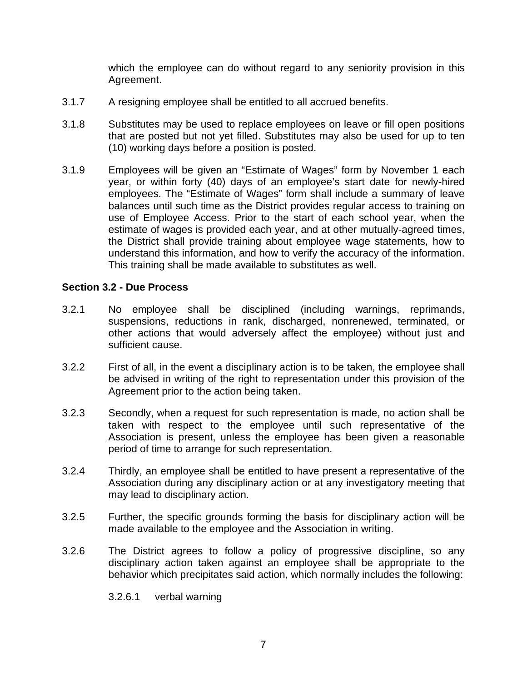which the employee can do without regard to any seniority provision in this Agreement.

- 3.1.7 A resigning employee shall be entitled to all accrued benefits.
- 3.1.8 Substitutes may be used to replace employees on leave or fill open positions that are posted but not yet filled. Substitutes may also be used for up to ten (10) working days before a position is posted.
- 3.1.9 Employees will be given an "Estimate of Wages" form by November 1 each year, or within forty (40) days of an employee's start date for newly-hired employees. The "Estimate of Wages" form shall include a summary of leave balances until such time as the District provides regular access to training on use of Employee Access. Prior to the start of each school year, when the estimate of wages is provided each year, and at other mutually-agreed times, the District shall provide training about employee wage statements, how to understand this information, and how to verify the accuracy of the information. This training shall be made available to substitutes as well.

#### <span id="page-9-0"></span>**Section 3.2 - Due Process**

- 3.2.1 No employee shall be disciplined (including warnings, reprimands, suspensions, reductions in rank, discharged, nonrenewed, terminated, or other actions that would adversely affect the employee) without just and sufficient cause.
- 3.2.2 First of all, in the event a disciplinary action is to be taken, the employee shall be advised in writing of the right to representation under this provision of the Agreement prior to the action being taken.
- 3.2.3 Secondly, when a request for such representation is made, no action shall be taken with respect to the employee until such representative of the Association is present, unless the employee has been given a reasonable period of time to arrange for such representation.
- 3.2.4 Thirdly, an employee shall be entitled to have present a representative of the Association during any disciplinary action or at any investigatory meeting that may lead to disciplinary action.
- 3.2.5 Further, the specific grounds forming the basis for disciplinary action will be made available to the employee and the Association in writing.
- 3.2.6 The District agrees to follow a policy of progressive discipline, so any disciplinary action taken against an employee shall be appropriate to the behavior which precipitates said action, which normally includes the following:
	- 3.2.6.1 verbal warning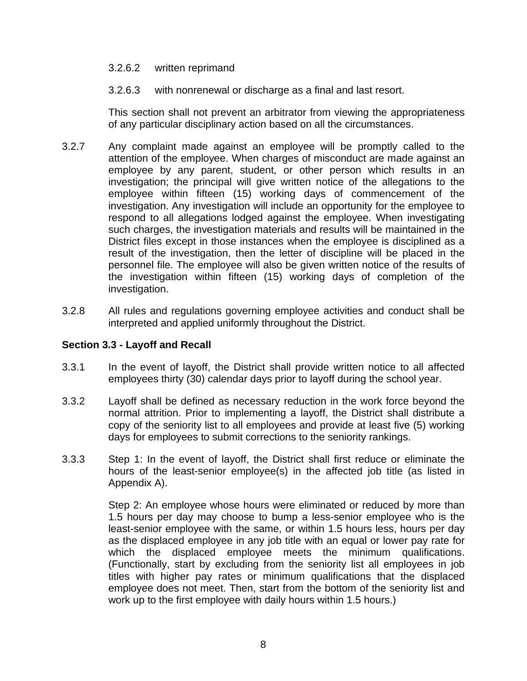#### 3.2.6.2 written reprimand

3.2.6.3 with nonrenewal or discharge as a final and last resort.

This section shall not prevent an arbitrator from viewing the appropriateness of any particular disciplinary action based on all the circumstances.

- 3.2.7 Any complaint made against an employee will be promptly called to the attention of the employee. When charges of misconduct are made against an employee by any parent, student, or other person which results in an investigation; the principal will give written notice of the allegations to the employee within fifteen (15) working days of commencement of the investigation. Any investigation will include an opportunity for the employee to respond to all allegations lodged against the employee. When investigating such charges, the investigation materials and results will be maintained in the District files except in those instances when the employee is disciplined as a result of the investigation, then the letter of discipline will be placed in the personnel file. The employee will also be given written notice of the results of the investigation within fifteen (15) working days of completion of the investigation.
- 3.2.8 All rules and regulations governing employee activities and conduct shall be interpreted and applied uniformly throughout the District.

#### <span id="page-10-0"></span>**Section 3.3 - Layoff and Recall**

- 3.3.1 In the event of layoff, the District shall provide written notice to all affected employees thirty (30) calendar days prior to layoff during the school year.
- 3.3.2 Layoff shall be defined as necessary reduction in the work force beyond the normal attrition. Prior to implementing a layoff, the District shall distribute a copy of the seniority list to all employees and provide at least five (5) working days for employees to submit corrections to the seniority rankings.
- 3.3.3 Step 1: In the event of layoff, the District shall first reduce or eliminate the hours of the least-senior employee(s) in the affected job title (as listed in Appendix A).

Step 2: An employee whose hours were eliminated or reduced by more than 1.5 hours per day may choose to bump a less-senior employee who is the least-senior employee with the same, or within 1.5 hours less, hours per day as the displaced employee in any job title with an equal or lower pay rate for which the displaced employee meets the minimum qualifications. (Functionally, start by excluding from the seniority list all employees in job titles with higher pay rates or minimum qualifications that the displaced employee does not meet. Then, start from the bottom of the seniority list and work up to the first employee with daily hours within 1.5 hours.)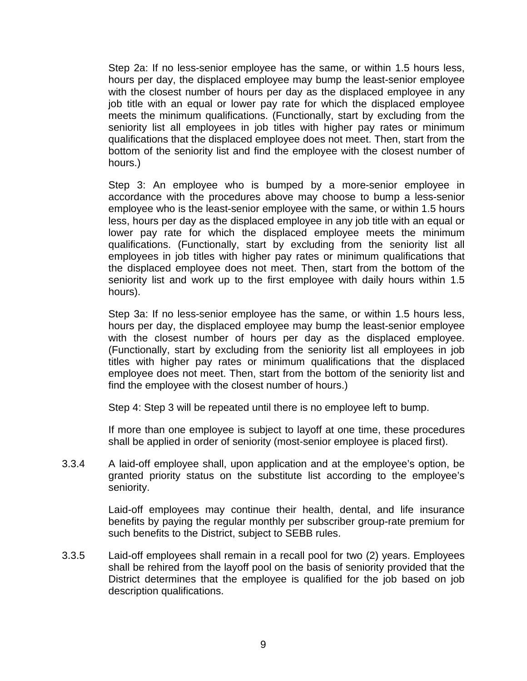Step 2a: If no less-senior employee has the same, or within 1.5 hours less, hours per day, the displaced employee may bump the least-senior employee with the closest number of hours per day as the displaced employee in any job title with an equal or lower pay rate for which the displaced employee meets the minimum qualifications. (Functionally, start by excluding from the seniority list all employees in job titles with higher pay rates or minimum qualifications that the displaced employee does not meet. Then, start from the bottom of the seniority list and find the employee with the closest number of hours.)

Step 3: An employee who is bumped by a more-senior employee in accordance with the procedures above may choose to bump a less-senior employee who is the least-senior employee with the same, or within 1.5 hours less, hours per day as the displaced employee in any job title with an equal or lower pay rate for which the displaced employee meets the minimum qualifications. (Functionally, start by excluding from the seniority list all employees in job titles with higher pay rates or minimum qualifications that the displaced employee does not meet. Then, start from the bottom of the seniority list and work up to the first employee with daily hours within 1.5 hours).

Step 3a: If no less-senior employee has the same, or within 1.5 hours less, hours per day, the displaced employee may bump the least-senior employee with the closest number of hours per day as the displaced employee. (Functionally, start by excluding from the seniority list all employees in job titles with higher pay rates or minimum qualifications that the displaced employee does not meet. Then, start from the bottom of the seniority list and find the employee with the closest number of hours.)

Step 4: Step 3 will be repeated until there is no employee left to bump.

If more than one employee is subject to layoff at one time, these procedures shall be applied in order of seniority (most-senior employee is placed first).

3.3.4 A laid-off employee shall, upon application and at the employee's option, be granted priority status on the substitute list according to the employee's seniority.

> Laid-off employees may continue their health, dental, and life insurance benefits by paying the regular monthly per subscriber group-rate premium for such benefits to the District, subject to SEBB rules.

3.3.5 Laid-off employees shall remain in a recall pool for two (2) years. Employees shall be rehired from the layoff pool on the basis of seniority provided that the District determines that the employee is qualified for the job based on job description qualifications.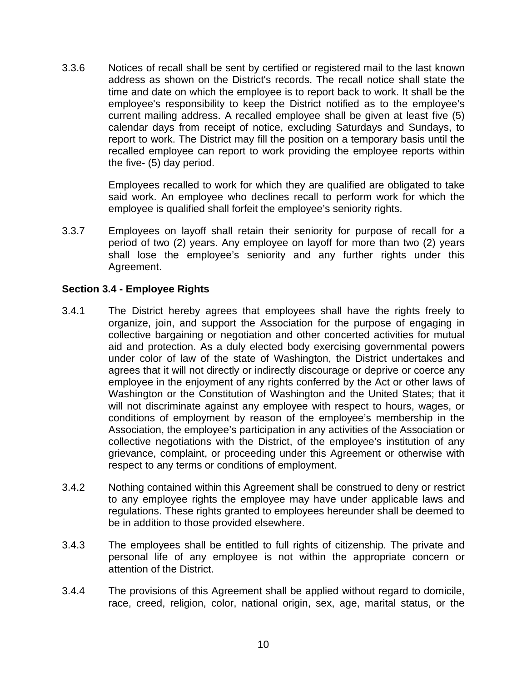3.3.6 Notices of recall shall be sent by certified or registered mail to the last known address as shown on the District's records. The recall notice shall state the time and date on which the employee is to report back to work. It shall be the employee's responsibility to keep the District notified as to the employee's current mailing address. A recalled employee shall be given at least five (5) calendar days from receipt of notice, excluding Saturdays and Sundays, to report to work. The District may fill the position on a temporary basis until the recalled employee can report to work providing the employee reports within the five- (5) day period.

> Employees recalled to work for which they are qualified are obligated to take said work. An employee who declines recall to perform work for which the employee is qualified shall forfeit the employee's seniority rights.

3.3.7 Employees on layoff shall retain their seniority for purpose of recall for a period of two (2) years. Any employee on layoff for more than two (2) years shall lose the employee's seniority and any further rights under this Agreement.

## <span id="page-12-0"></span>**Section 3.4 - Employee Rights**

- 3.4.1 The District hereby agrees that employees shall have the rights freely to organize, join, and support the Association for the purpose of engaging in collective bargaining or negotiation and other concerted activities for mutual aid and protection. As a duly elected body exercising governmental powers under color of law of the state of Washington, the District undertakes and agrees that it will not directly or indirectly discourage or deprive or coerce any employee in the enjoyment of any rights conferred by the Act or other laws of Washington or the Constitution of Washington and the United States; that it will not discriminate against any employee with respect to hours, wages, or conditions of employment by reason of the employee's membership in the Association, the employee's participation in any activities of the Association or collective negotiations with the District, of the employee's institution of any grievance, complaint, or proceeding under this Agreement or otherwise with respect to any terms or conditions of employment.
- 3.4.2 Nothing contained within this Agreement shall be construed to deny or restrict to any employee rights the employee may have under applicable laws and regulations. These rights granted to employees hereunder shall be deemed to be in addition to those provided elsewhere.
- 3.4.3 The employees shall be entitled to full rights of citizenship. The private and personal life of any employee is not within the appropriate concern or attention of the District.
- 3.4.4 The provisions of this Agreement shall be applied without regard to domicile, race, creed, religion, color, national origin, sex, age, marital status, or the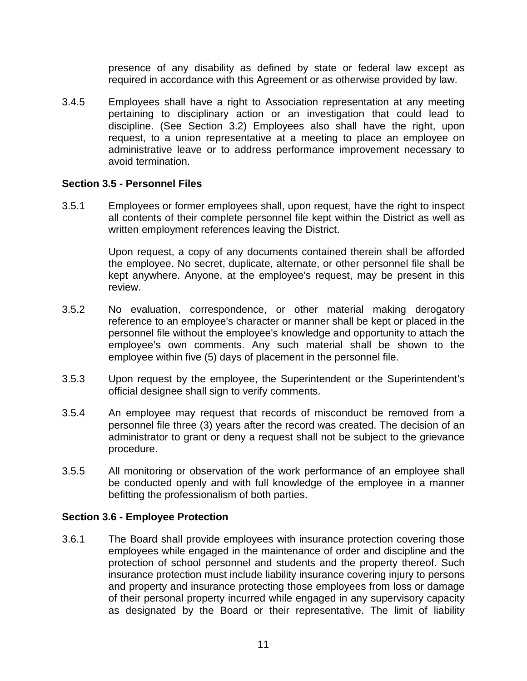presence of any disability as defined by state or federal law except as required in accordance with this Agreement or as otherwise provided by law.

3.4.5 Employees shall have a right to Association representation at any meeting pertaining to disciplinary action or an investigation that could lead to discipline. (See Section 3.2) Employees also shall have the right, upon request, to a union representative at a meeting to place an employee on administrative leave or to address performance improvement necessary to avoid termination.

#### <span id="page-13-0"></span>**Section 3.5 - Personnel Files**

3.5.1 Employees or former employees shall, upon request, have the right to inspect all contents of their complete personnel file kept within the District as well as written employment references leaving the District.

> Upon request, a copy of any documents contained therein shall be afforded the employee. No secret, duplicate, alternate, or other personnel file shall be kept anywhere. Anyone, at the employee's request, may be present in this review.

- 3.5.2 No evaluation, correspondence, or other material making derogatory reference to an employee's character or manner shall be kept or placed in the personnel file without the employee's knowledge and opportunity to attach the employee's own comments. Any such material shall be shown to the employee within five (5) days of placement in the personnel file.
- 3.5.3 Upon request by the employee, the Superintendent or the Superintendent's official designee shall sign to verify comments.
- 3.5.4 An employee may request that records of misconduct be removed from a personnel file three (3) years after the record was created. The decision of an administrator to grant or deny a request shall not be subject to the grievance procedure.
- 3.5.5 All monitoring or observation of the work performance of an employee shall be conducted openly and with full knowledge of the employee in a manner befitting the professionalism of both parties.

#### <span id="page-13-1"></span>**Section 3.6 - Employee Protection**

3.6.1 The Board shall provide employees with insurance protection covering those employees while engaged in the maintenance of order and discipline and the protection of school personnel and students and the property thereof. Such insurance protection must include liability insurance covering injury to persons and property and insurance protecting those employees from loss or damage of their personal property incurred while engaged in any supervisory capacity as designated by the Board or their representative. The limit of liability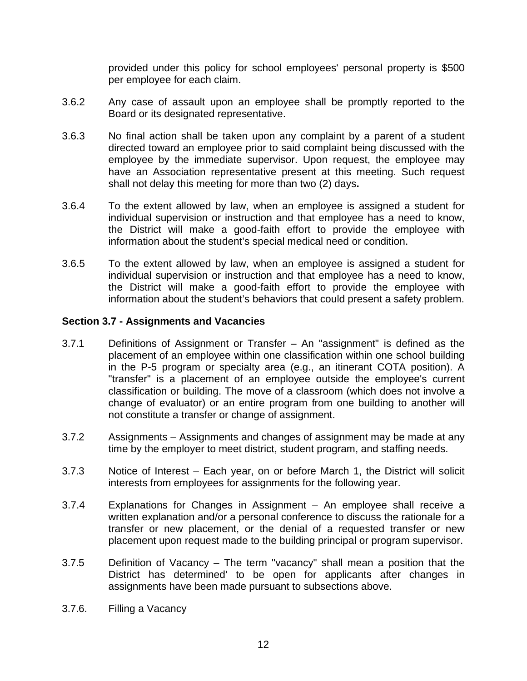provided under this policy for school employees' personal property is \$500 per employee for each claim.

- 3.6.2 Any case of assault upon an employee shall be promptly reported to the Board or its designated representative.
- 3.6.3 No final action shall be taken upon any complaint by a parent of a student directed toward an employee prior to said complaint being discussed with the employee by the immediate supervisor. Upon request, the employee may have an Association representative present at this meeting. Such request shall not delay this meeting for more than two (2) days**.**
- 3.6.4 To the extent allowed by law, when an employee is assigned a student for individual supervision or instruction and that employee has a need to know, the District will make a good-faith effort to provide the employee with information about the student's special medical need or condition.
- 3.6.5 To the extent allowed by law, when an employee is assigned a student for individual supervision or instruction and that employee has a need to know, the District will make a good-faith effort to provide the employee with information about the student's behaviors that could present a safety problem.

## <span id="page-14-0"></span>**Section 3.7 - Assignments and Vacancies**

- 3.7.1 Definitions of Assignment or Transfer An "assignment" is defined as the placement of an employee within one classification within one school building in the P-5 program or specialty area (e.g., an itinerant COTA position). A "transfer" is a placement of an employee outside the employee's current classification or building. The move of a classroom (which does not involve a change of evaluator) or an entire program from one building to another will not constitute a transfer or change of assignment.
- 3.7.2 Assignments Assignments and changes of assignment may be made at any time by the employer to meet district, student program, and staffing needs.
- 3.7.3 Notice of Interest Each year, on or before March 1, the District will solicit interests from employees for assignments for the following year.
- 3.7.4 Explanations for Changes in Assignment An employee shall receive a written explanation and/or a personal conference to discuss the rationale for a transfer or new placement, or the denial of a requested transfer or new placement upon request made to the building principal or program supervisor.
- 3.7.5 Definition of Vacancy The term "vacancy" shall mean a position that the District has determined' to be open for applicants after changes in assignments have been made pursuant to subsections above.
- 3.7.6. Filling a Vacancy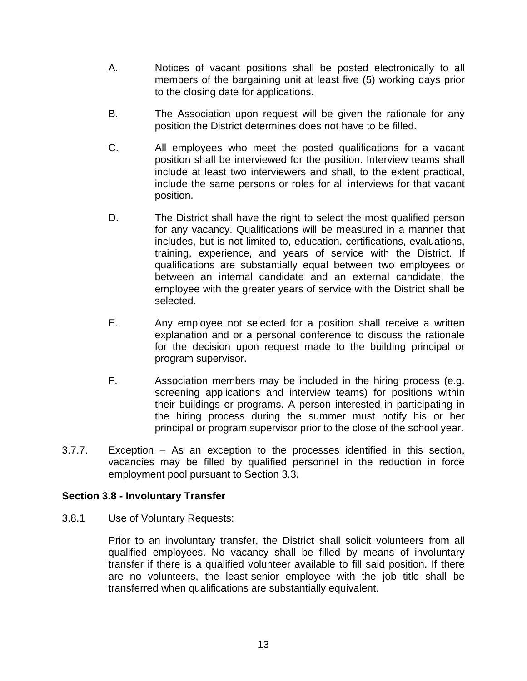- A. Notices of vacant positions shall be posted electronically to all members of the bargaining unit at least five (5) working days prior to the closing date for applications.
- B. The Association upon request will be given the rationale for any position the District determines does not have to be filled.
- C. All employees who meet the posted qualifications for a vacant position shall be interviewed for the position. Interview teams shall include at least two interviewers and shall, to the extent practical, include the same persons or roles for all interviews for that vacant position.
- D. The District shall have the right to select the most qualified person for any vacancy. Qualifications will be measured in a manner that includes, but is not limited to, education, certifications, evaluations, training, experience, and years of service with the District. If qualifications are substantially equal between two employees or between an internal candidate and an external candidate, the employee with the greater years of service with the District shall be selected.
- E. Any employee not selected for a position shall receive a written explanation and or a personal conference to discuss the rationale for the decision upon request made to the building principal or program supervisor.
- F. Association members may be included in the hiring process (e.g. screening applications and interview teams) for positions within their buildings or programs. A person interested in participating in the hiring process during the summer must notify his or her principal or program supervisor prior to the close of the school year.
- 3.7.7. Exception As an exception to the processes identified in this section, vacancies may be filled by qualified personnel in the reduction in force employment pool pursuant to Section 3.3.

## <span id="page-15-0"></span>**Section 3.8 - Involuntary Transfer**

3.8.1 Use of Voluntary Requests:

Prior to an involuntary transfer, the District shall solicit volunteers from all qualified employees. No vacancy shall be filled by means of involuntary transfer if there is a qualified volunteer available to fill said position. If there are no volunteers, the least-senior employee with the job title shall be transferred when qualifications are substantially equivalent.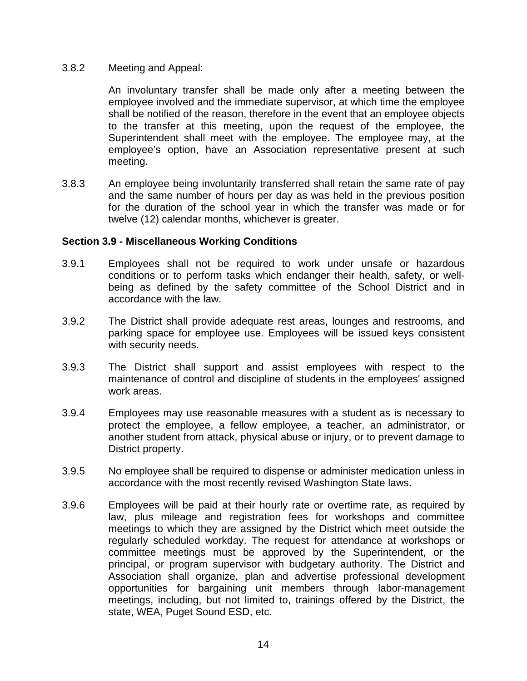#### 3.8.2 Meeting and Appeal:

An involuntary transfer shall be made only after a meeting between the employee involved and the immediate supervisor, at which time the employee shall be notified of the reason, therefore in the event that an employee objects to the transfer at this meeting, upon the request of the employee, the Superintendent shall meet with the employee. The employee may, at the employee's option, have an Association representative present at such meeting.

3.8.3 An employee being involuntarily transferred shall retain the same rate of pay and the same number of hours per day as was held in the previous position for the duration of the school year in which the transfer was made or for twelve (12) calendar months, whichever is greater.

#### <span id="page-16-0"></span>**Section 3.9 - Miscellaneous Working Conditions**

- 3.9.1 Employees shall not be required to work under unsafe or hazardous conditions or to perform tasks which endanger their health, safety, or wellbeing as defined by the safety committee of the School District and in accordance with the law.
- 3.9.2 The District shall provide adequate rest areas, lounges and restrooms, and parking space for employee use. Employees will be issued keys consistent with security needs.
- 3.9.3 The District shall support and assist employees with respect to the maintenance of control and discipline of students in the employees' assigned work areas.
- 3.9.4 Employees may use reasonable measures with a student as is necessary to protect the employee, a fellow employee, a teacher, an administrator, or another student from attack, physical abuse or injury, or to prevent damage to District property.
- 3.9.5 No employee shall be required to dispense or administer medication unless in accordance with the most recently revised Washington State laws.
- 3.9.6 Employees will be paid at their hourly rate or overtime rate, as required by law, plus mileage and registration fees for workshops and committee meetings to which they are assigned by the District which meet outside the regularly scheduled workday. The request for attendance at workshops or committee meetings must be approved by the Superintendent, or the principal, or program supervisor with budgetary authority. The District and Association shall organize, plan and advertise professional development opportunities for bargaining unit members through labor-management meetings, including, but not limited to, trainings offered by the District, the state, WEA, Puget Sound ESD, etc.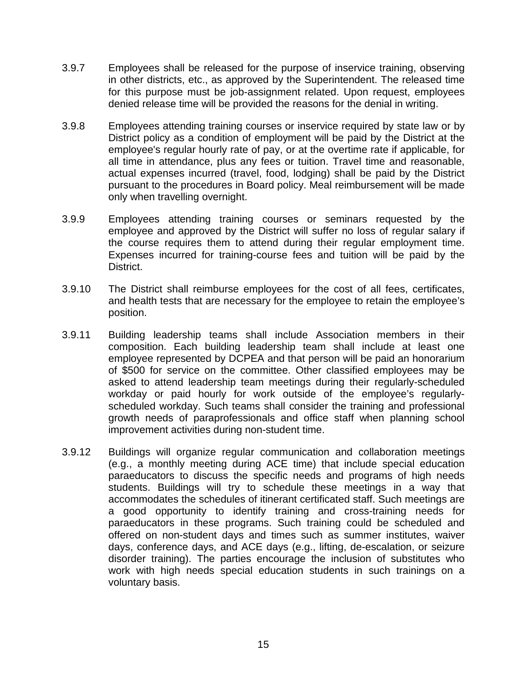- 3.9.7 Employees shall be released for the purpose of inservice training, observing in other districts, etc., as approved by the Superintendent. The released time for this purpose must be job-assignment related. Upon request, employees denied release time will be provided the reasons for the denial in writing.
- 3.9.8 Employees attending training courses or inservice required by state law or by District policy as a condition of employment will be paid by the District at the employee's regular hourly rate of pay, or at the overtime rate if applicable, for all time in attendance, plus any fees or tuition. Travel time and reasonable, actual expenses incurred (travel, food, lodging) shall be paid by the District pursuant to the procedures in Board policy. Meal reimbursement will be made only when travelling overnight.
- 3.9.9 Employees attending training courses or seminars requested by the employee and approved by the District will suffer no loss of regular salary if the course requires them to attend during their regular employment time. Expenses incurred for training-course fees and tuition will be paid by the District.
- 3.9.10 The District shall reimburse employees for the cost of all fees, certificates, and health tests that are necessary for the employee to retain the employee's position.
- 3.9.11 Building leadership teams shall include Association members in their composition. Each building leadership team shall include at least one employee represented by DCPEA and that person will be paid an honorarium of \$500 for service on the committee. Other classified employees may be asked to attend leadership team meetings during their regularly-scheduled workday or paid hourly for work outside of the employee's regularlyscheduled workday. Such teams shall consider the training and professional growth needs of paraprofessionals and office staff when planning school improvement activities during non-student time.
- 3.9.12 Buildings will organize regular communication and collaboration meetings (e.g., a monthly meeting during ACE time) that include special education paraeducators to discuss the specific needs and programs of high needs students. Buildings will try to schedule these meetings in a way that accommodates the schedules of itinerant certificated staff. Such meetings are a good opportunity to identify training and cross-training needs for paraeducators in these programs. Such training could be scheduled and offered on non-student days and times such as summer institutes, waiver days, conference days, and ACE days (e.g., lifting, de-escalation, or seizure disorder training). The parties encourage the inclusion of substitutes who work with high needs special education students in such trainings on a voluntary basis.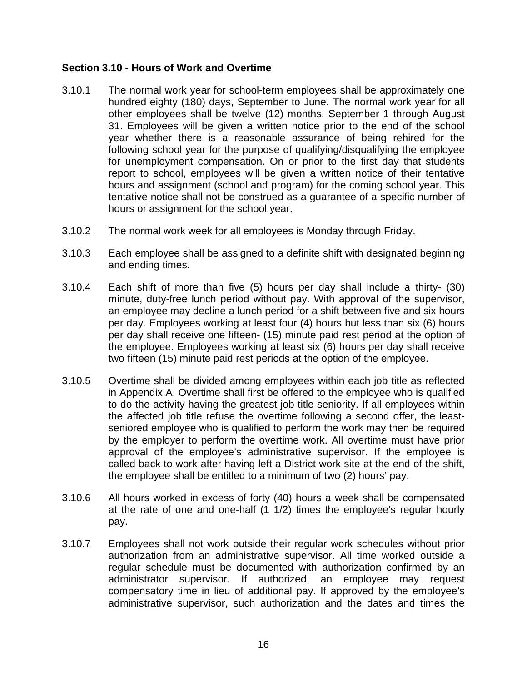### <span id="page-18-0"></span>**Section 3.10 - Hours of Work and Overtime**

- 3.10.1 The normal work year for school-term employees shall be approximately one hundred eighty (180) days, September to June. The normal work year for all other employees shall be twelve (12) months, September 1 through August 31. Employees will be given a written notice prior to the end of the school year whether there is a reasonable assurance of being rehired for the following school year for the purpose of qualifying/disqualifying the employee for unemployment compensation. On or prior to the first day that students report to school, employees will be given a written notice of their tentative hours and assignment (school and program) for the coming school year. This tentative notice shall not be construed as a guarantee of a specific number of hours or assignment for the school year.
- 3.10.2 The normal work week for all employees is Monday through Friday.
- 3.10.3 Each employee shall be assigned to a definite shift with designated beginning and ending times.
- 3.10.4 Each shift of more than five (5) hours per day shall include a thirty- (30) minute, duty-free lunch period without pay. With approval of the supervisor, an employee may decline a lunch period for a shift between five and six hours per day. Employees working at least four (4) hours but less than six (6) hours per day shall receive one fifteen- (15) minute paid rest period at the option of the employee. Employees working at least six (6) hours per day shall receive two fifteen (15) minute paid rest periods at the option of the employee.
- 3.10.5 Overtime shall be divided among employees within each job title as reflected in Appendix A. Overtime shall first be offered to the employee who is qualified to do the activity having the greatest job-title seniority. If all employees within the affected job title refuse the overtime following a second offer, the leastseniored employee who is qualified to perform the work may then be required by the employer to perform the overtime work. All overtime must have prior approval of the employee's administrative supervisor. If the employee is called back to work after having left a District work site at the end of the shift, the employee shall be entitled to a minimum of two (2) hours' pay.
- 3.10.6 All hours worked in excess of forty (40) hours a week shall be compensated at the rate of one and one-half (1 1/2) times the employee's regular hourly pay.
- 3.10.7 Employees shall not work outside their regular work schedules without prior authorization from an administrative supervisor. All time worked outside a regular schedule must be documented with authorization confirmed by an administrator supervisor. If authorized, an employee may request compensatory time in lieu of additional pay. If approved by the employee's administrative supervisor, such authorization and the dates and times the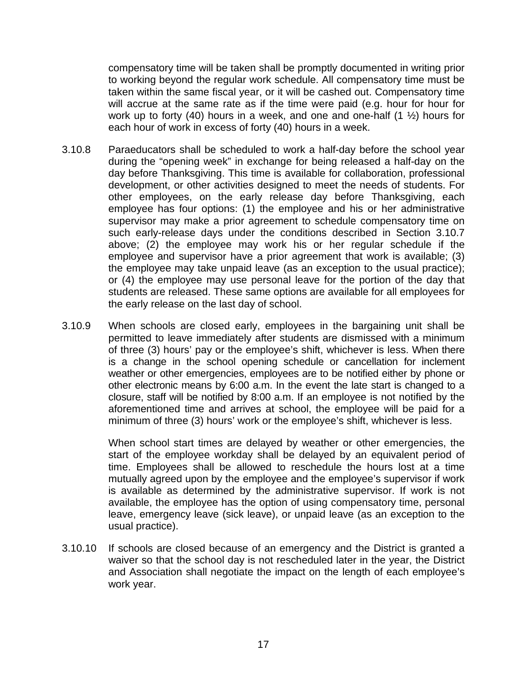compensatory time will be taken shall be promptly documented in writing prior to working beyond the regular work schedule. All compensatory time must be taken within the same fiscal year, or it will be cashed out. Compensatory time will accrue at the same rate as if the time were paid (e.g. hour for hour for work up to forty (40) hours in a week, and one and one-half (1 ½) hours for each hour of work in excess of forty (40) hours in a week.

- 3.10.8 Paraeducators shall be scheduled to work a half-day before the school year during the "opening week" in exchange for being released a half-day on the day before Thanksgiving. This time is available for collaboration, professional development, or other activities designed to meet the needs of students. For other employees, on the early release day before Thanksgiving, each employee has four options: (1) the employee and his or her administrative supervisor may make a prior agreement to schedule compensatory time on such early-release days under the conditions described in Section 3.10.7 above; (2) the employee may work his or her regular schedule if the employee and supervisor have a prior agreement that work is available; (3) the employee may take unpaid leave (as an exception to the usual practice); or (4) the employee may use personal leave for the portion of the day that students are released. These same options are available for all employees for the early release on the last day of school.
- 3.10.9 When schools are closed early, employees in the bargaining unit shall be permitted to leave immediately after students are dismissed with a minimum of three (3) hours' pay or the employee's shift, whichever is less. When there is a change in the school opening schedule or cancellation for inclement weather or other emergencies, employees are to be notified either by phone or other electronic means by 6:00 a.m. In the event the late start is changed to a closure, staff will be notified by 8:00 a.m. If an employee is not notified by the aforementioned time and arrives at school, the employee will be paid for a minimum of three (3) hours' work or the employee's shift, whichever is less.

When school start times are delayed by weather or other emergencies, the start of the employee workday shall be delayed by an equivalent period of time. Employees shall be allowed to reschedule the hours lost at a time mutually agreed upon by the employee and the employee's supervisor if work is available as determined by the administrative supervisor. If work is not available, the employee has the option of using compensatory time, personal leave, emergency leave (sick leave), or unpaid leave (as an exception to the usual practice).

3.10.10 If schools are closed because of an emergency and the District is granted a waiver so that the school day is not rescheduled later in the year, the District and Association shall negotiate the impact on the length of each employee's work year.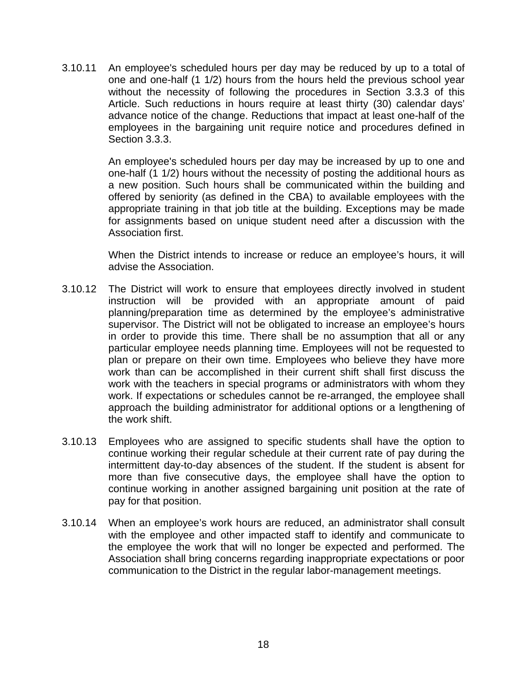3.10.11 An employee's scheduled hours per day may be reduced by up to a total of one and one-half (1 1/2) hours from the hours held the previous school year without the necessity of following the procedures in Section 3.3.3 of this Article. Such reductions in hours require at least thirty (30) calendar days' advance notice of the change. Reductions that impact at least one-half of the employees in the bargaining unit require notice and procedures defined in Section 3.3.3.

> An employee's scheduled hours per day may be increased by up to one and one-half (1 1/2) hours without the necessity of posting the additional hours as a new position. Such hours shall be communicated within the building and offered by seniority (as defined in the CBA) to available employees with the appropriate training in that job title at the building. Exceptions may be made for assignments based on unique student need after a discussion with the Association first.

> When the District intends to increase or reduce an employee's hours, it will advise the Association.

- 3.10.12 The District will work to ensure that employees directly involved in student instruction will be provided with an appropriate amount of paid planning/preparation time as determined by the employee's administrative supervisor. The District will not be obligated to increase an employee's hours in order to provide this time. There shall be no assumption that all or any particular employee needs planning time. Employees will not be requested to plan or prepare on their own time. Employees who believe they have more work than can be accomplished in their current shift shall first discuss the work with the teachers in special programs or administrators with whom they work. If expectations or schedules cannot be re-arranged, the employee shall approach the building administrator for additional options or a lengthening of the work shift.
- 3.10.13 Employees who are assigned to specific students shall have the option to continue working their regular schedule at their current rate of pay during the intermittent day-to-day absences of the student. If the student is absent for more than five consecutive days, the employee shall have the option to continue working in another assigned bargaining unit position at the rate of pay for that position.
- 3.10.14 When an employee's work hours are reduced, an administrator shall consult with the employee and other impacted staff to identify and communicate to the employee the work that will no longer be expected and performed. The Association shall bring concerns regarding inappropriate expectations or poor communication to the District in the regular labor-management meetings.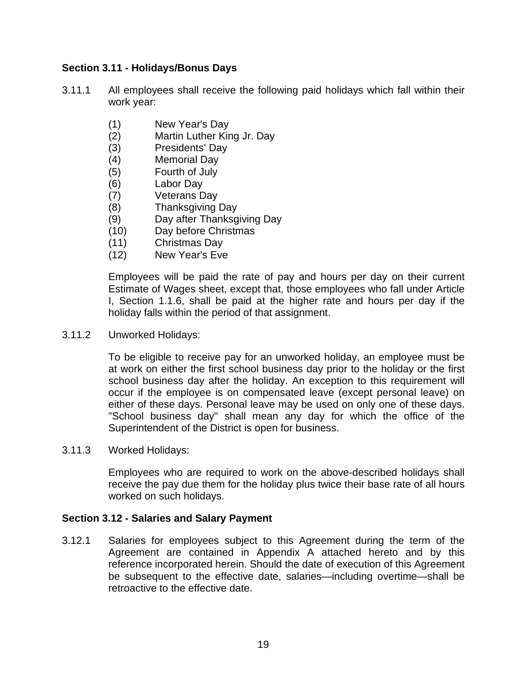### <span id="page-21-0"></span>**Section 3.11 - Holidays/Bonus Days**

- 3.11.1 All employees shall receive the following paid holidays which fall within their work year:
	- (1) New Year's Day
	- (2) Martin Luther King Jr. Day
	- (3) Presidents' Day
	- (4) Memorial Day
	- (5) Fourth of July
	- (6) Labor Day
	- (7) Veterans Day
	- (8) Thanksgiving Day
	- (9) Day after Thanksgiving Day
	- (10) Day before Christmas
	- (11) Christmas Day
	- (12) New Year's Eve

Employees will be paid the rate of pay and hours per day on their current Estimate of Wages sheet, except that, those employees who fall under Article I, Section 1.1.6, shall be paid at the higher rate and hours per day if the holiday falls within the period of that assignment.

3.11.2 Unworked Holidays:

To be eligible to receive pay for an unworked holiday, an employee must be at work on either the first school business day prior to the holiday or the first school business day after the holiday. An exception to this requirement will occur if the employee is on compensated leave (except personal leave) on either of these days. Personal leave may be used on only one of these days. "School business day" shall mean any day for which the office of the Superintendent of the District is open for business.

3.11.3 Worked Holidays:

Employees who are required to work on the above-described holidays shall receive the pay due them for the holiday plus twice their base rate of all hours worked on such holidays.

#### <span id="page-21-1"></span>**Section 3.12 - Salaries and Salary Payment**

3.12.1 Salaries for employees subject to this Agreement during the term of the Agreement are contained in Appendix A attached hereto and by this reference incorporated herein. Should the date of execution of this Agreement be subsequent to the effective date, salaries—including overtime—shall be retroactive to the effective date.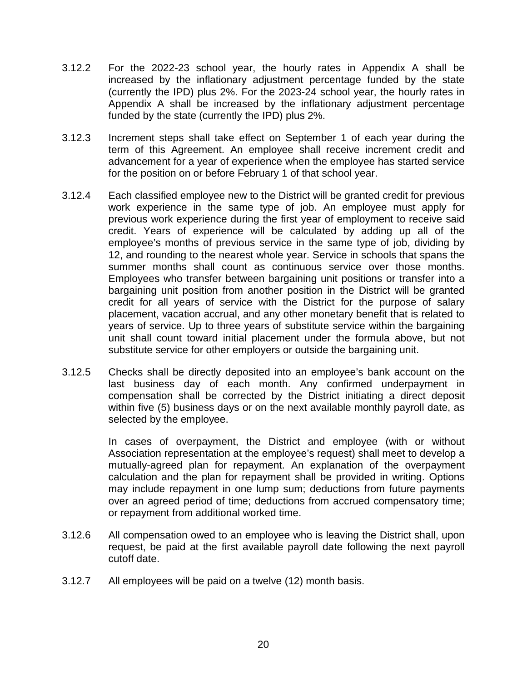- 3.12.2 For the 2022-23 school year, the hourly rates in Appendix A shall be increased by the inflationary adjustment percentage funded by the state (currently the IPD) plus 2%. For the 2023-24 school year, the hourly rates in Appendix A shall be increased by the inflationary adjustment percentage funded by the state (currently the IPD) plus 2%.
- 3.12.3 Increment steps shall take effect on September 1 of each year during the term of this Agreement. An employee shall receive increment credit and advancement for a year of experience when the employee has started service for the position on or before February 1 of that school year.
- 3.12.4 Each classified employee new to the District will be granted credit for previous work experience in the same type of job. An employee must apply for previous work experience during the first year of employment to receive said credit. Years of experience will be calculated by adding up all of the employee's months of previous service in the same type of job, dividing by 12, and rounding to the nearest whole year. Service in schools that spans the summer months shall count as continuous service over those months. Employees who transfer between bargaining unit positions or transfer into a bargaining unit position from another position in the District will be granted credit for all years of service with the District for the purpose of salary placement, vacation accrual, and any other monetary benefit that is related to years of service. Up to three years of substitute service within the bargaining unit shall count toward initial placement under the formula above, but not substitute service for other employers or outside the bargaining unit.
- 3.12.5 Checks shall be directly deposited into an employee's bank account on the last business day of each month. Any confirmed underpayment in compensation shall be corrected by the District initiating a direct deposit within five (5) business days or on the next available monthly payroll date, as selected by the employee.

In cases of overpayment, the District and employee (with or without Association representation at the employee's request) shall meet to develop a mutually-agreed plan for repayment. An explanation of the overpayment calculation and the plan for repayment shall be provided in writing. Options may include repayment in one lump sum; deductions from future payments over an agreed period of time; deductions from accrued compensatory time; or repayment from additional worked time.

- 3.12.6 All compensation owed to an employee who is leaving the District shall, upon request, be paid at the first available payroll date following the next payroll cutoff date.
- 3.12.7 All employees will be paid on a twelve (12) month basis.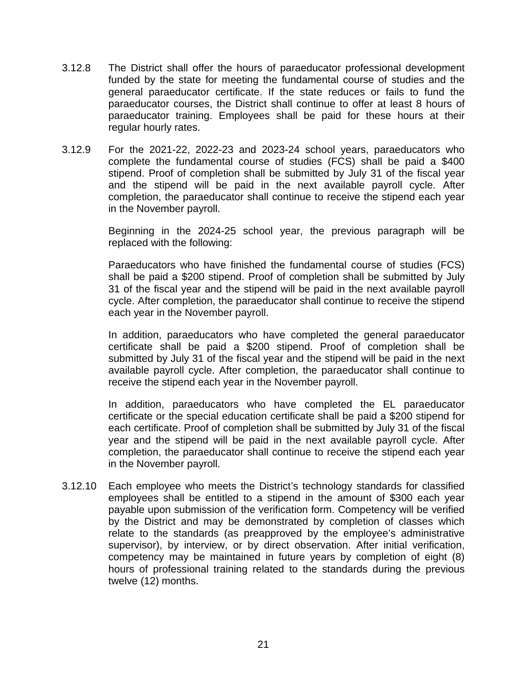- 3.12.8 The District shall offer the hours of paraeducator professional development funded by the state for meeting the fundamental course of studies and the general paraeducator certificate. If the state reduces or fails to fund the paraeducator courses, the District shall continue to offer at least 8 hours of paraeducator training. Employees shall be paid for these hours at their regular hourly rates.
- 3.12.9 For the 2021-22, 2022-23 and 2023-24 school years, paraeducators who complete the fundamental course of studies (FCS) shall be paid a \$400 stipend. Proof of completion shall be submitted by July 31 of the fiscal year and the stipend will be paid in the next available payroll cycle. After completion, the paraeducator shall continue to receive the stipend each year in the November payroll.

Beginning in the 2024-25 school year, the previous paragraph will be replaced with the following:

Paraeducators who have finished the fundamental course of studies (FCS) shall be paid a \$200 stipend. Proof of completion shall be submitted by July 31 of the fiscal year and the stipend will be paid in the next available payroll cycle. After completion, the paraeducator shall continue to receive the stipend each year in the November payroll.

In addition, paraeducators who have completed the general paraeducator certificate shall be paid a \$200 stipend. Proof of completion shall be submitted by July 31 of the fiscal year and the stipend will be paid in the next available payroll cycle. After completion, the paraeducator shall continue to receive the stipend each year in the November payroll.

In addition, paraeducators who have completed the EL paraeducator certificate or the special education certificate shall be paid a \$200 stipend for each certificate. Proof of completion shall be submitted by July 31 of the fiscal year and the stipend will be paid in the next available payroll cycle. After completion, the paraeducator shall continue to receive the stipend each year in the November payroll.

3.12.10 Each employee who meets the District's technology standards for classified employees shall be entitled to a stipend in the amount of \$300 each year payable upon submission of the verification form. Competency will be verified by the District and may be demonstrated by completion of classes which relate to the standards (as preapproved by the employee's administrative supervisor), by interview, or by direct observation. After initial verification, competency may be maintained in future years by completion of eight (8) hours of professional training related to the standards during the previous twelve (12) months.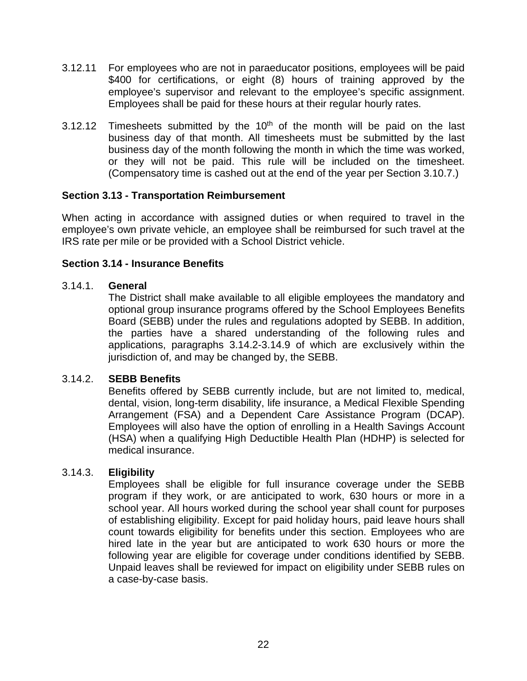- 3.12.11 For employees who are not in paraeducator positions, employees will be paid \$400 for certifications, or eight (8) hours of training approved by the employee's supervisor and relevant to the employee's specific assignment. Employees shall be paid for these hours at their regular hourly rates.
- 3.12.12 Timesheets submitted by the  $10<sup>th</sup>$  of the month will be paid on the last business day of that month. All timesheets must be submitted by the last business day of the month following the month in which the time was worked, or they will not be paid. This rule will be included on the timesheet. (Compensatory time is cashed out at the end of the year per Section 3.10.7.)

#### <span id="page-24-0"></span>**Section 3.13 - Transportation Reimbursement**

When acting in accordance with assigned duties or when required to travel in the employee's own private vehicle, an employee shall be reimbursed for such travel at the IRS rate per mile or be provided with a School District vehicle.

## <span id="page-24-1"></span>**Section 3.14 - Insurance Benefits**

#### 3.14.1. **General**

The District shall make available to all eligible employees the mandatory and optional group insurance programs offered by the School Employees Benefits Board (SEBB) under the rules and regulations adopted by SEBB. In addition, the parties have a shared understanding of the following rules and applications, paragraphs 3.14.2-3.14.9 of which are exclusively within the jurisdiction of, and may be changed by, the SEBB.

#### 3.14.2. **SEBB Benefits**

Benefits offered by SEBB currently include, but are not limited to, medical, dental, vision, long-term disability, life insurance, a Medical Flexible Spending Arrangement (FSA) and a Dependent Care Assistance Program (DCAP). Employees will also have the option of enrolling in a Health Savings Account (HSA) when a qualifying High Deductible Health Plan (HDHP) is selected for medical insurance.

## 3.14.3. **Eligibility**

Employees shall be eligible for full insurance coverage under the SEBB program if they work, or are anticipated to work, 630 hours or more in a school year. All hours worked during the school year shall count for purposes of establishing eligibility. Except for paid holiday hours, paid leave hours shall count towards eligibility for benefits under this section. Employees who are hired late in the year but are anticipated to work 630 hours or more the following year are eligible for coverage under conditions identified by SEBB. Unpaid leaves shall be reviewed for impact on eligibility under SEBB rules on a case-by-case basis.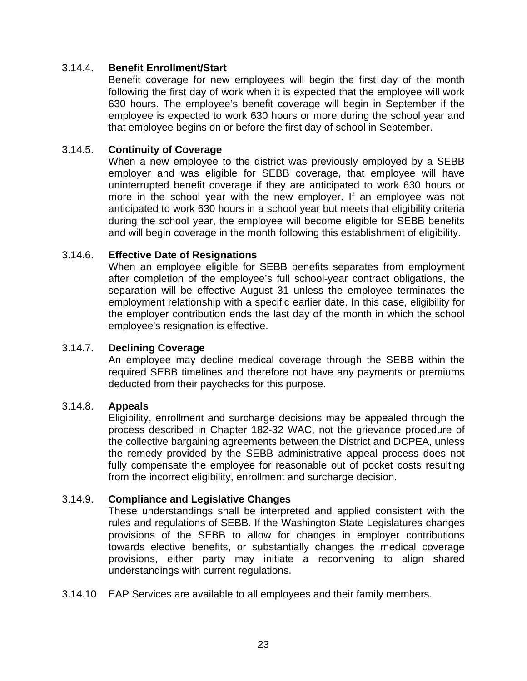### 3.14.4. **Benefit Enrollment/Start**

Benefit coverage for new employees will begin the first day of the month following the first day of work when it is expected that the employee will work 630 hours. The employee's benefit coverage will begin in September if the employee is expected to work 630 hours or more during the school year and that employee begins on or before the first day of school in September.

### 3.14.5. **Continuity of Coverage**

When a new employee to the district was previously employed by a SEBB employer and was eligible for SEBB coverage, that employee will have uninterrupted benefit coverage if they are anticipated to work 630 hours or more in the school year with the new employer. If an employee was not anticipated to work 630 hours in a school year but meets that eligibility criteria during the school year, the employee will become eligible for SEBB benefits and will begin coverage in the month following this establishment of eligibility.

#### 3.14.6. **Effective Date of Resignations**

When an employee eligible for SEBB benefits separates from employment after completion of the employee's full school-year contract obligations, the separation will be effective August 31 unless the employee terminates the employment relationship with a specific earlier date. In this case, eligibility for the employer contribution ends the last day of the month in which the school employee's resignation is effective.

## 3.14.7. **Declining Coverage**

An employee may decline medical coverage through the SEBB within the required SEBB timelines and therefore not have any payments or premiums deducted from their paychecks for this purpose.

#### 3.14.8. **Appeals**

Eligibility, enrollment and surcharge decisions may be appealed through the process described in Chapter 182-32 WAC, not the grievance procedure of the collective bargaining agreements between the District and DCPEA, unless the remedy provided by the SEBB administrative appeal process does not fully compensate the employee for reasonable out of pocket costs resulting from the incorrect eligibility, enrollment and surcharge decision.

#### 3.14.9. **Compliance and Legislative Changes**

These understandings shall be interpreted and applied consistent with the rules and regulations of SEBB. If the Washington State Legislatures changes provisions of the SEBB to allow for changes in employer contributions towards elective benefits, or substantially changes the medical coverage provisions, either party may initiate a reconvening to align shared understandings with current regulations.

3.14.10 EAP Services are available to all employees and their family members.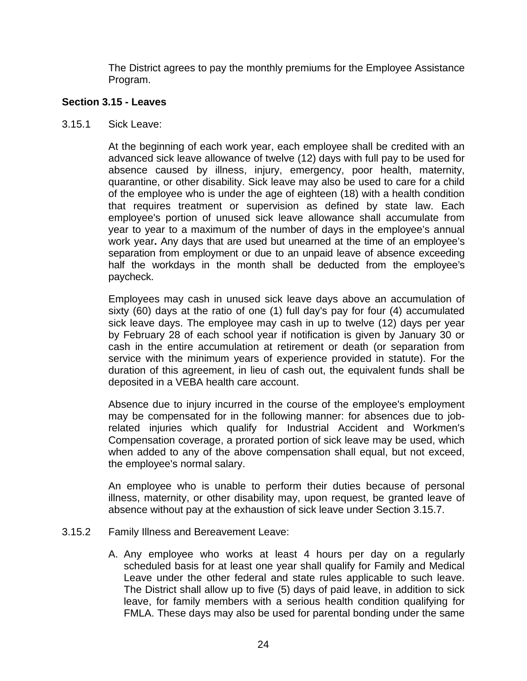The District agrees to pay the monthly premiums for the Employee Assistance Program.

### <span id="page-26-0"></span>**Section 3.15 - Leaves**

3.15.1 Sick Leave:

At the beginning of each work year, each employee shall be credited with an advanced sick leave allowance of twelve (12) days with full pay to be used for absence caused by illness, injury, emergency, poor health, maternity, quarantine, or other disability. Sick leave may also be used to care for a child of the employee who is under the age of eighteen (18) with a health condition that requires treatment or supervision as defined by state law. Each employee's portion of unused sick leave allowance shall accumulate from year to year to a maximum of the number of days in the employee's annual work year**.** Any days that are used but unearned at the time of an employee's separation from employment or due to an unpaid leave of absence exceeding half the workdays in the month shall be deducted from the employee's paycheck.

Employees may cash in unused sick leave days above an accumulation of sixty (60) days at the ratio of one (1) full day's pay for four (4) accumulated sick leave days. The employee may cash in up to twelve  $(12)$  days per year by February 28 of each school year if notification is given by January 30 or cash in the entire accumulation at retirement or death (or separation from service with the minimum years of experience provided in statute). For the duration of this agreement, in lieu of cash out, the equivalent funds shall be deposited in a VEBA health care account.

Absence due to injury incurred in the course of the employee's employment may be compensated for in the following manner: for absences due to jobrelated injuries which qualify for Industrial Accident and Workmen's Compensation coverage, a prorated portion of sick leave may be used, which when added to any of the above compensation shall equal, but not exceed, the employee's normal salary.

An employee who is unable to perform their duties because of personal illness, maternity, or other disability may, upon request, be granted leave of absence without pay at the exhaustion of sick leave under Section 3.15.7.

- 3.15.2 Family Illness and Bereavement Leave:
	- A. Any employee who works at least 4 hours per day on a regularly scheduled basis for at least one year shall qualify for Family and Medical Leave under the other federal and state rules applicable to such leave. The District shall allow up to five (5) days of paid leave, in addition to sick leave, for family members with a serious health condition qualifying for FMLA. These days may also be used for parental bonding under the same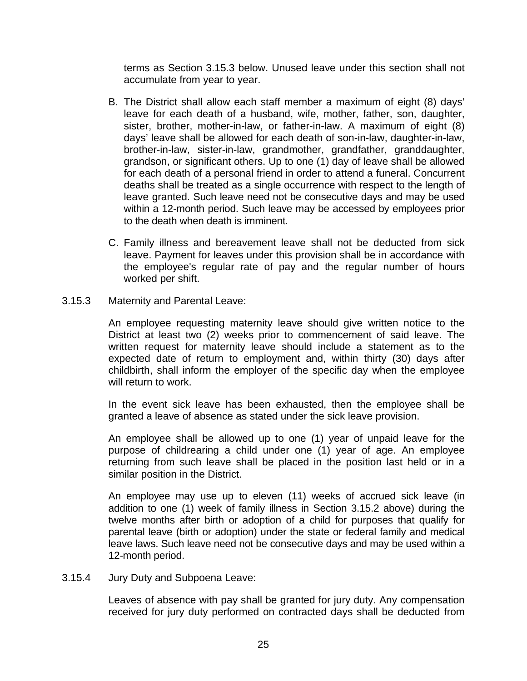terms as Section 3.15.3 below. Unused leave under this section shall not accumulate from year to year.

- B. The District shall allow each staff member a maximum of eight (8) days' leave for each death of a husband, wife, mother, father, son, daughter, sister, brother, mother-in-law, or father-in-law. A maximum of eight (8) days' leave shall be allowed for each death of son-in-law, daughter-in-law, brother-in-law, sister-in-law, grandmother, grandfather, granddaughter, grandson, or significant others. Up to one (1) day of leave shall be allowed for each death of a personal friend in order to attend a funeral. Concurrent deaths shall be treated as a single occurrence with respect to the length of leave granted. Such leave need not be consecutive days and may be used within a 12-month period. Such leave may be accessed by employees prior to the death when death is imminent.
- C. Family illness and bereavement leave shall not be deducted from sick leave. Payment for leaves under this provision shall be in accordance with the employee's regular rate of pay and the regular number of hours worked per shift.
- 3.15.3 Maternity and Parental Leave:

An employee requesting maternity leave should give written notice to the District at least two (2) weeks prior to commencement of said leave. The written request for maternity leave should include a statement as to the expected date of return to employment and, within thirty (30) days after childbirth, shall inform the employer of the specific day when the employee will return to work.

In the event sick leave has been exhausted, then the employee shall be granted a leave of absence as stated under the sick leave provision.

An employee shall be allowed up to one (1) year of unpaid leave for the purpose of childrearing a child under one (1) year of age. An employee returning from such leave shall be placed in the position last held or in a similar position in the District.

An employee may use up to eleven (11) weeks of accrued sick leave (in addition to one (1) week of family illness in Section 3.15.2 above) during the twelve months after birth or adoption of a child for purposes that qualify for parental leave (birth or adoption) under the state or federal family and medical leave laws. Such leave need not be consecutive days and may be used within a 12-month period.

3.15.4 Jury Duty and Subpoena Leave:

Leaves of absence with pay shall be granted for jury duty. Any compensation received for jury duty performed on contracted days shall be deducted from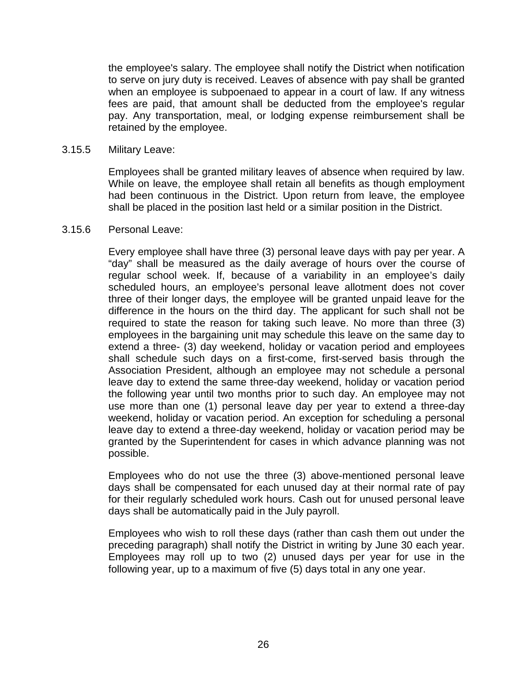the employee's salary. The employee shall notify the District when notification to serve on jury duty is received. Leaves of absence with pay shall be granted when an employee is subpoenaed to appear in a court of law. If any witness fees are paid, that amount shall be deducted from the employee's regular pay. Any transportation, meal, or lodging expense reimbursement shall be retained by the employee.

#### 3.15.5 Military Leave:

Employees shall be granted military leaves of absence when required by law. While on leave, the employee shall retain all benefits as though employment had been continuous in the District. Upon return from leave, the employee shall be placed in the position last held or a similar position in the District.

#### 3.15.6 Personal Leave:

Every employee shall have three (3) personal leave days with pay per year. A "day" shall be measured as the daily average of hours over the course of regular school week. If, because of a variability in an employee's daily scheduled hours, an employee's personal leave allotment does not cover three of their longer days, the employee will be granted unpaid leave for the difference in the hours on the third day. The applicant for such shall not be required to state the reason for taking such leave. No more than three (3) employees in the bargaining unit may schedule this leave on the same day to extend a three- (3) day weekend, holiday or vacation period and employees shall schedule such days on a first-come, first-served basis through the Association President, although an employee may not schedule a personal leave day to extend the same three-day weekend, holiday or vacation period the following year until two months prior to such day. An employee may not use more than one (1) personal leave day per year to extend a three-day weekend, holiday or vacation period. An exception for scheduling a personal leave day to extend a three-day weekend, holiday or vacation period may be granted by the Superintendent for cases in which advance planning was not possible.

Employees who do not use the three (3) above-mentioned personal leave days shall be compensated for each unused day at their normal rate of pay for their regularly scheduled work hours. Cash out for unused personal leave days shall be automatically paid in the July payroll.

Employees who wish to roll these days (rather than cash them out under the preceding paragraph) shall notify the District in writing by June 30 each year. Employees may roll up to two (2) unused days per year for use in the following year, up to a maximum of five (5) days total in any one year.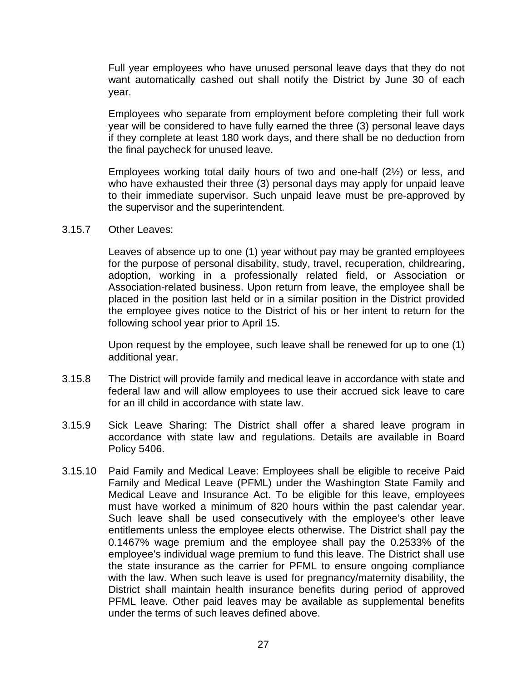Full year employees who have unused personal leave days that they do not want automatically cashed out shall notify the District by June 30 of each year.

Employees who separate from employment before completing their full work year will be considered to have fully earned the three (3) personal leave days if they complete at least 180 work days, and there shall be no deduction from the final paycheck for unused leave.

Employees working total daily hours of two and one-half (2½) or less, and who have exhausted their three (3) personal days may apply for unpaid leave to their immediate supervisor. Such unpaid leave must be pre-approved by the supervisor and the superintendent.

3.15.7 Other Leaves:

Leaves of absence up to one (1) year without pay may be granted employees for the purpose of personal disability, study, travel, recuperation, childrearing, adoption, working in a professionally related field, or Association or Association-related business. Upon return from leave, the employee shall be placed in the position last held or in a similar position in the District provided the employee gives notice to the District of his or her intent to return for the following school year prior to April 15.

Upon request by the employee, such leave shall be renewed for up to one (1) additional year.

- 3.15.8 The District will provide family and medical leave in accordance with state and federal law and will allow employees to use their accrued sick leave to care for an ill child in accordance with state law.
- 3.15.9 Sick Leave Sharing: The District shall offer a shared leave program in accordance with state law and regulations. Details are available in Board Policy 5406.
- 3.15.10 Paid Family and Medical Leave: Employees shall be eligible to receive Paid Family and Medical Leave (PFML) under the Washington State Family and Medical Leave and Insurance Act. To be eligible for this leave, employees must have worked a minimum of 820 hours within the past calendar year. Such leave shall be used consecutively with the employee's other leave entitlements unless the employee elects otherwise. The District shall pay the 0.1467% wage premium and the employee shall pay the 0.2533% of the employee's individual wage premium to fund this leave. The District shall use the state insurance as the carrier for PFML to ensure ongoing compliance with the law. When such leave is used for pregnancy/maternity disability, the District shall maintain health insurance benefits during period of approved PFML leave. Other paid leaves may be available as supplemental benefits under the terms of such leaves defined above.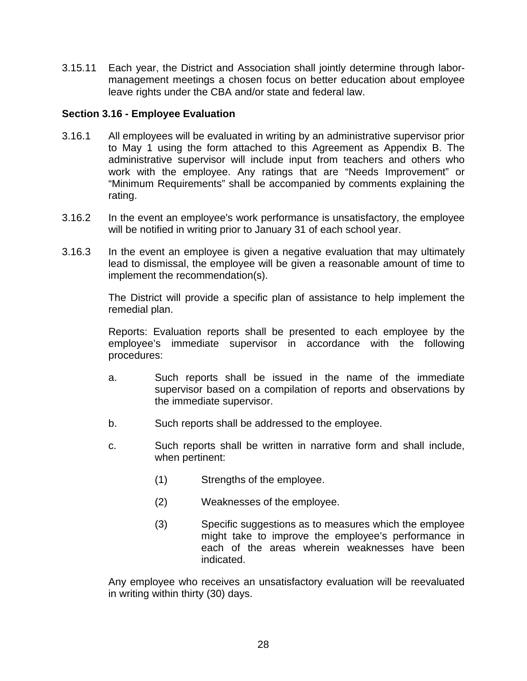3.15.11 Each year, the District and Association shall jointly determine through labormanagement meetings a chosen focus on better education about employee leave rights under the CBA and/or state and federal law.

#### <span id="page-30-0"></span>**Section 3.16 - Employee Evaluation**

- 3.16.1 All employees will be evaluated in writing by an administrative supervisor prior to May 1 using the form attached to this Agreement as Appendix B. The administrative supervisor will include input from teachers and others who work with the employee. Any ratings that are "Needs Improvement" or "Minimum Requirements" shall be accompanied by comments explaining the rating.
- 3.16.2 In the event an employee's work performance is unsatisfactory, the employee will be notified in writing prior to January 31 of each school year.
- 3.16.3 In the event an employee is given a negative evaluation that may ultimately lead to dismissal, the employee will be given a reasonable amount of time to implement the recommendation(s).

The District will provide a specific plan of assistance to help implement the remedial plan.

Reports: Evaluation reports shall be presented to each employee by the employee's immediate supervisor in accordance with the following procedures:

- a. Such reports shall be issued in the name of the immediate supervisor based on a compilation of reports and observations by the immediate supervisor.
- b. Such reports shall be addressed to the employee.
- c. Such reports shall be written in narrative form and shall include, when pertinent:
	- (1) Strengths of the employee.
	- (2) Weaknesses of the employee.
	- (3) Specific suggestions as to measures which the employee might take to improve the employee's performance in each of the areas wherein weaknesses have been indicated.

Any employee who receives an unsatisfactory evaluation will be reevaluated in writing within thirty (30) days.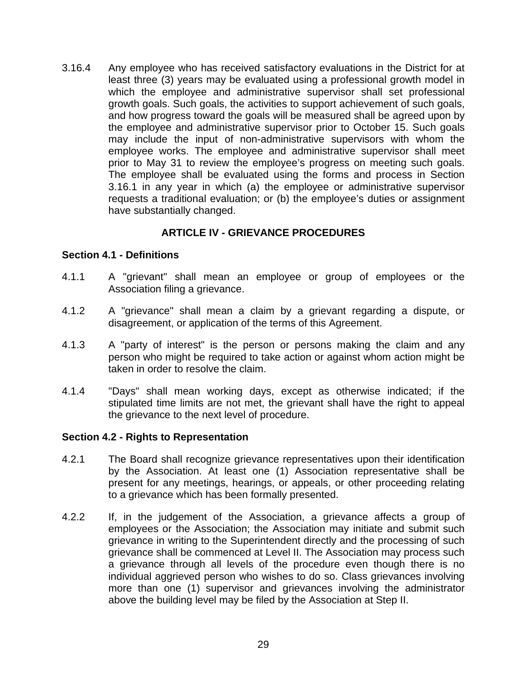3.16.4 Any employee who has received satisfactory evaluations in the District for at least three (3) years may be evaluated using a professional growth model in which the employee and administrative supervisor shall set professional growth goals. Such goals, the activities to support achievement of such goals, and how progress toward the goals will be measured shall be agreed upon by the employee and administrative supervisor prior to October 15. Such goals may include the input of non-administrative supervisors with whom the employee works. The employee and administrative supervisor shall meet prior to May 31 to review the employee's progress on meeting such goals. The employee shall be evaluated using the forms and process in Section 3.16.1 in any year in which (a) the employee or administrative supervisor requests a traditional evaluation; or (b) the employee's duties or assignment have substantially changed.

## **ARTICLE IV - GRIEVANCE PROCEDURES**

#### <span id="page-31-1"></span><span id="page-31-0"></span>**Section 4.1 - Definitions**

- 4.1.1 A "grievant" shall mean an employee or group of employees or the Association filing a grievance.
- 4.1.2 A "grievance" shall mean a claim by a grievant regarding a dispute, or disagreement, or application of the terms of this Agreement.
- 4.1.3 A "party of interest" is the person or persons making the claim and any person who might be required to take action or against whom action might be taken in order to resolve the claim.
- 4.1.4 "Days" shall mean working days, except as otherwise indicated; if the stipulated time limits are not met, the grievant shall have the right to appeal the grievance to the next level of procedure.

#### <span id="page-31-2"></span>**Section 4.2 - Rights to Representation**

- 4.2.1 The Board shall recognize grievance representatives upon their identification by the Association. At least one (1) Association representative shall be present for any meetings, hearings, or appeals, or other proceeding relating to a grievance which has been formally presented.
- 4.2.2 If, in the judgement of the Association, a grievance affects a group of employees or the Association; the Association may initiate and submit such grievance in writing to the Superintendent directly and the processing of such grievance shall be commenced at Level II. The Association may process such a grievance through all levels of the procedure even though there is no individual aggrieved person who wishes to do so. Class grievances involving more than one (1) supervisor and grievances involving the administrator above the building level may be filed by the Association at Step II.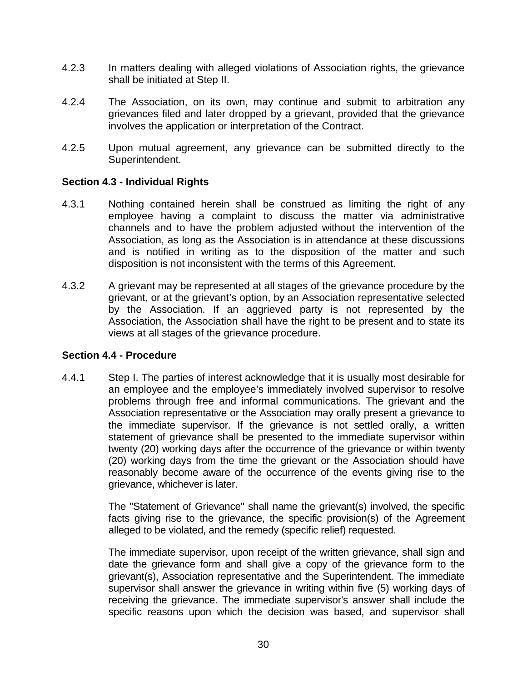- 4.2.3 In matters dealing with alleged violations of Association rights, the grievance shall be initiated at Step II.
- 4.2.4 The Association, on its own, may continue and submit to arbitration any grievances filed and later dropped by a grievant, provided that the grievance involves the application or interpretation of the Contract.
- 4.2.5 Upon mutual agreement, any grievance can be submitted directly to the Superintendent.

#### <span id="page-32-0"></span>**Section 4.3 - Individual Rights**

- 4.3.1 Nothing contained herein shall be construed as limiting the right of any employee having a complaint to discuss the matter via administrative channels and to have the problem adjusted without the intervention of the Association, as long as the Association is in attendance at these discussions and is notified in writing as to the disposition of the matter and such disposition is not inconsistent with the terms of this Agreement.
- 4.3.2 A grievant may be represented at all stages of the grievance procedure by the grievant, or at the grievant's option, by an Association representative selected by the Association. If an aggrieved party is not represented by the Association, the Association shall have the right to be present and to state its views at all stages of the grievance procedure.

#### <span id="page-32-1"></span>**Section 4.4 - Procedure**

4.4.1 Step I. The parties of interest acknowledge that it is usually most desirable for an employee and the employee's immediately involved supervisor to resolve problems through free and informal communications. The grievant and the Association representative or the Association may orally present a grievance to the immediate supervisor. If the grievance is not settled orally, a written statement of grievance shall be presented to the immediate supervisor within twenty (20) working days after the occurrence of the grievance or within twenty (20) working days from the time the grievant or the Association should have reasonably become aware of the occurrence of the events giving rise to the grievance, whichever is later.

> The "Statement of Grievance" shall name the grievant(s) involved, the specific facts giving rise to the grievance, the specific provision(s) of the Agreement alleged to be violated, and the remedy (specific relief) requested.

> The immediate supervisor, upon receipt of the written grievance, shall sign and date the grievance form and shall give a copy of the grievance form to the grievant(s), Association representative and the Superintendent. The immediate supervisor shall answer the grievance in writing within five (5) working days of receiving the grievance. The immediate supervisor's answer shall include the specific reasons upon which the decision was based, and supervisor shall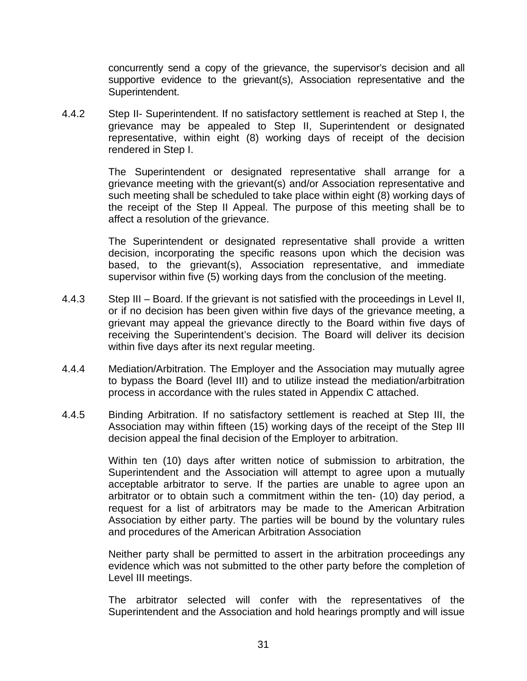concurrently send a copy of the grievance, the supervisor's decision and all supportive evidence to the grievant(s), Association representative and the Superintendent.

4.4.2 Step II- Superintendent. If no satisfactory settlement is reached at Step I, the grievance may be appealed to Step II, Superintendent or designated representative, within eight (8) working days of receipt of the decision rendered in Step I.

> The Superintendent or designated representative shall arrange for a grievance meeting with the grievant(s) and/or Association representative and such meeting shall be scheduled to take place within eight (8) working days of the receipt of the Step II Appeal. The purpose of this meeting shall be to affect a resolution of the grievance.

> The Superintendent or designated representative shall provide a written decision, incorporating the specific reasons upon which the decision was based, to the grievant(s), Association representative, and immediate supervisor within five (5) working days from the conclusion of the meeting.

- 4.4.3 Step III Board. If the grievant is not satisfied with the proceedings in Level II, or if no decision has been given within five days of the grievance meeting, a grievant may appeal the grievance directly to the Board within five days of receiving the Superintendent's decision. The Board will deliver its decision within five days after its next regular meeting.
- 4.4.4 Mediation/Arbitration. The Employer and the Association may mutually agree to bypass the Board (level III) and to utilize instead the mediation/arbitration process in accordance with the rules stated in Appendix C attached.
- 4.4.5 Binding Arbitration. If no satisfactory settlement is reached at Step III, the Association may within fifteen (15) working days of the receipt of the Step III decision appeal the final decision of the Employer to arbitration.

Within ten (10) days after written notice of submission to arbitration, the Superintendent and the Association will attempt to agree upon a mutually acceptable arbitrator to serve. If the parties are unable to agree upon an arbitrator or to obtain such a commitment within the ten- (10) day period, a request for a list of arbitrators may be made to the American Arbitration Association by either party. The parties will be bound by the voluntary rules and procedures of the American Arbitration Association

Neither party shall be permitted to assert in the arbitration proceedings any evidence which was not submitted to the other party before the completion of Level III meetings.

The arbitrator selected will confer with the representatives of the Superintendent and the Association and hold hearings promptly and will issue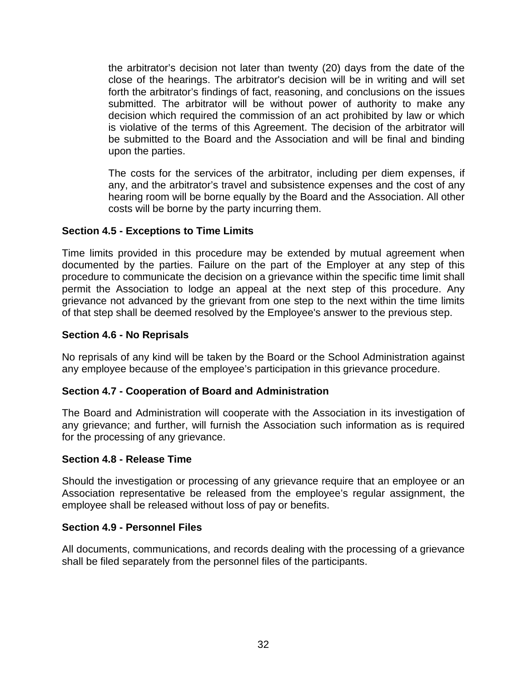the arbitrator's decision not later than twenty (20) days from the date of the close of the hearings. The arbitrator's decision will be in writing and will set forth the arbitrator's findings of fact, reasoning, and conclusions on the issues submitted. The arbitrator will be without power of authority to make any decision which required the commission of an act prohibited by law or which is violative of the terms of this Agreement. The decision of the arbitrator will be submitted to the Board and the Association and will be final and binding upon the parties.

The costs for the services of the arbitrator, including per diem expenses, if any, and the arbitrator's travel and subsistence expenses and the cost of any hearing room will be borne equally by the Board and the Association. All other costs will be borne by the party incurring them.

## <span id="page-34-0"></span>**Section 4.5 - Exceptions to Time Limits**

Time limits provided in this procedure may be extended by mutual agreement when documented by the parties. Failure on the part of the Employer at any step of this procedure to communicate the decision on a grievance within the specific time limit shall permit the Association to lodge an appeal at the next step of this procedure. Any grievance not advanced by the grievant from one step to the next within the time limits of that step shall be deemed resolved by the Employee's answer to the previous step.

#### <span id="page-34-1"></span>**Section 4.6 - No Reprisals**

No reprisals of any kind will be taken by the Board or the School Administration against any employee because of the employee's participation in this grievance procedure.

#### <span id="page-34-2"></span>**Section 4.7 - Cooperation of Board and Administration**

The Board and Administration will cooperate with the Association in its investigation of any grievance; and further, will furnish the Association such information as is required for the processing of any grievance.

#### <span id="page-34-3"></span>**Section 4.8 - Release Time**

Should the investigation or processing of any grievance require that an employee or an Association representative be released from the employee's regular assignment, the employee shall be released without loss of pay or benefits.

#### <span id="page-34-4"></span>**Section 4.9 - Personnel Files**

All documents, communications, and records dealing with the processing of a grievance shall be filed separately from the personnel files of the participants.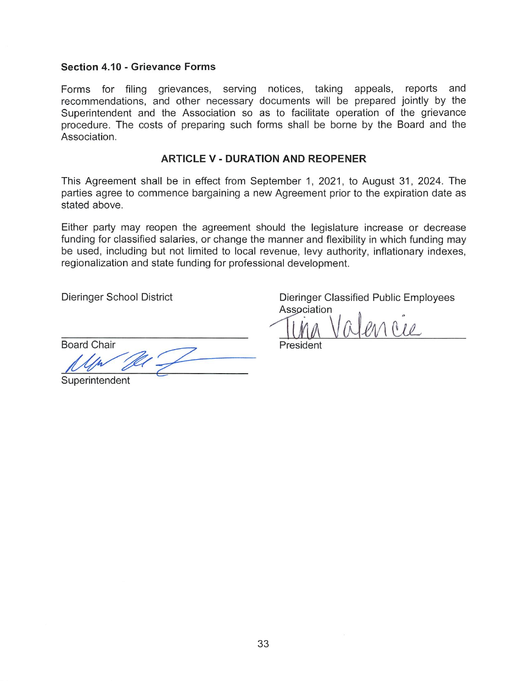#### Section 4.10 - Grievance Forms

Forms for filing grievances, serving notices, taking appeals, reports and recommendations, and other necessary documents will be prepared jointly by the Superintendent and the Association so as to facilitate operation of the grievance procedure. The costs of preparing such forms shall be borne by the Board and the Association.

#### **ARTICLE V - DURATION AND REOPENER**

This Agreement shall be in effect from September 1, 2021, to August 31, 2024. The parties agree to commence bargaining a new Agreement prior to the expiration date as stated above.

Either party may reopen the agreement should the legislature increase or decrease funding for classified salaries, or change the manner and flexibility in which funding may be used, including but not limited to local revenue, levy authority, inflationary indexes, regionalization and state funding for professional development.

**Dieringer School District** 

Dieringer Classified Public Employees Association

 $1010$ 

**Board Chair** 

Superintendent

President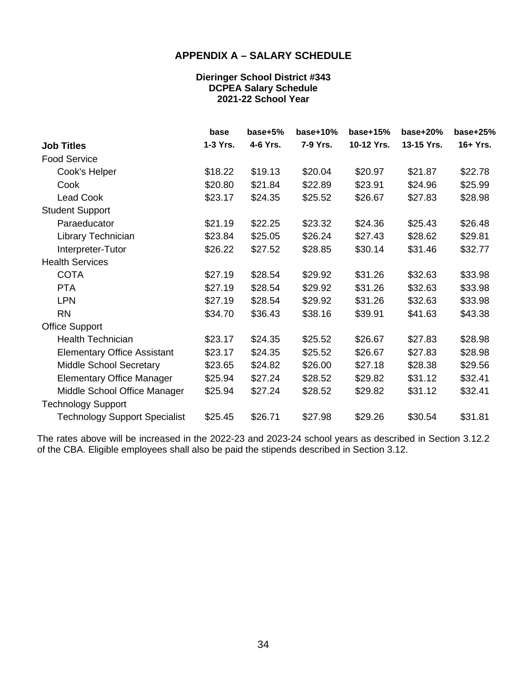#### **APPENDIX A – SALARY SCHEDULE**

#### **Dieringer School District #343 DCPEA Salary Schedule 2021-22 School Year**

<span id="page-36-0"></span>

|                                      | base     | $base+5%$ | $base+10%$ | $base+15%$ | base $+20%$ | $base+25%$ |
|--------------------------------------|----------|-----------|------------|------------|-------------|------------|
| <b>Job Titles</b>                    | 1-3 Yrs. | 4-6 Yrs.  | 7-9 Yrs.   | 10-12 Yrs. | 13-15 Yrs.  | $16+Yrs.$  |
| <b>Food Service</b>                  |          |           |            |            |             |            |
| Cook's Helper                        | \$18.22  | \$19.13   | \$20.04    | \$20.97    | \$21.87     | \$22.78    |
| Cook                                 | \$20.80  | \$21.84   | \$22.89    | \$23.91    | \$24.96     | \$25.99    |
| <b>Lead Cook</b>                     | \$23.17  | \$24.35   | \$25.52    | \$26.67    | \$27.83     | \$28.98    |
| <b>Student Support</b>               |          |           |            |            |             |            |
| Paraeducator                         | \$21.19  | \$22.25   | \$23.32    | \$24.36    | \$25.43     | \$26.48    |
| Library Technician                   | \$23.84  | \$25.05   | \$26.24    | \$27.43    | \$28.62     | \$29.81    |
| Interpreter-Tutor                    | \$26.22  | \$27.52   | \$28.85    | \$30.14    | \$31.46     | \$32.77    |
| <b>Health Services</b>               |          |           |            |            |             |            |
| <b>COTA</b>                          | \$27.19  | \$28.54   | \$29.92    | \$31.26    | \$32.63     | \$33.98    |
| <b>PTA</b>                           | \$27.19  | \$28.54   | \$29.92    | \$31.26    | \$32.63     | \$33.98    |
| <b>LPN</b>                           | \$27.19  | \$28.54   | \$29.92    | \$31.26    | \$32.63     | \$33.98    |
| <b>RN</b>                            | \$34.70  | \$36.43   | \$38.16    | \$39.91    | \$41.63     | \$43.38    |
| <b>Office Support</b>                |          |           |            |            |             |            |
| <b>Health Technician</b>             | \$23.17  | \$24.35   | \$25.52    | \$26.67    | \$27.83     | \$28.98    |
| <b>Elementary Office Assistant</b>   | \$23.17  | \$24.35   | \$25.52    | \$26.67    | \$27.83     | \$28.98    |
| Middle School Secretary              | \$23.65  | \$24.82   | \$26.00    | \$27.18    | \$28.38     | \$29.56    |
| <b>Elementary Office Manager</b>     | \$25.94  | \$27.24   | \$28.52    | \$29.82    | \$31.12     | \$32.41    |
| Middle School Office Manager         | \$25.94  | \$27.24   | \$28.52    | \$29.82    | \$31.12     | \$32.41    |
| <b>Technology Support</b>            |          |           |            |            |             |            |
| <b>Technology Support Specialist</b> | \$25.45  | \$26.71   | \$27.98    | \$29.26    | \$30.54     | \$31.81    |

The rates above will be increased in the 2022-23 and 2023-24 school years as described in Section 3.12.2 of the CBA. Eligible employees shall also be paid the stipends described in Section 3.12.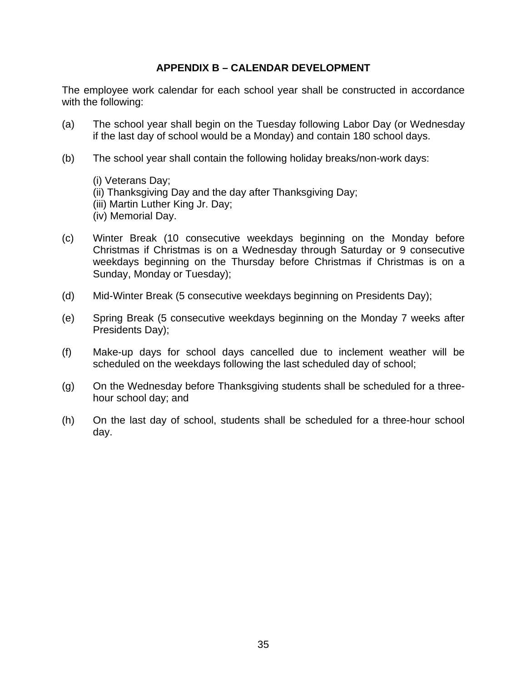#### **APPENDIX B – CALENDAR DEVELOPMENT**

<span id="page-37-0"></span>The employee work calendar for each school year shall be constructed in accordance with the following:

- (a) The school year shall begin on the Tuesday following Labor Day (or Wednesday if the last day of school would be a Monday) and contain 180 school days.
- (b) The school year shall contain the following holiday breaks/non-work days:
	- (i) Veterans Day; (ii) Thanksgiving Day and the day after Thanksgiving Day; (iii) Martin Luther King Jr. Day; (iv) Memorial Day.
- (c) Winter Break (10 consecutive weekdays beginning on the Monday before Christmas if Christmas is on a Wednesday through Saturday or 9 consecutive weekdays beginning on the Thursday before Christmas if Christmas is on a Sunday, Monday or Tuesday);
- (d) Mid-Winter Break (5 consecutive weekdays beginning on Presidents Day);
- (e) Spring Break (5 consecutive weekdays beginning on the Monday 7 weeks after Presidents Day);
- (f) Make-up days for school days cancelled due to inclement weather will be scheduled on the weekdays following the last scheduled day of school;
- (g) On the Wednesday before Thanksgiving students shall be scheduled for a threehour school day; and
- (h) On the last day of school, students shall be scheduled for a three-hour school day.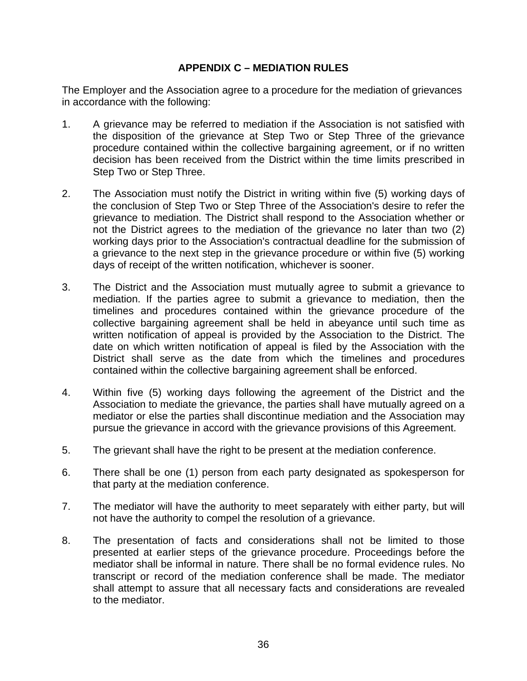### **APPENDIX C – MEDIATION RULES**

<span id="page-38-0"></span>The Employer and the Association agree to a procedure for the mediation of grievances in accordance with the following:

- 1. A grievance may be referred to mediation if the Association is not satisfied with the disposition of the grievance at Step Two or Step Three of the grievance procedure contained within the collective bargaining agreement, or if no written decision has been received from the District within the time limits prescribed in Step Two or Step Three.
- 2. The Association must notify the District in writing within five (5) working days of the conclusion of Step Two or Step Three of the Association's desire to refer the grievance to mediation. The District shall respond to the Association whether or not the District agrees to the mediation of the grievance no later than two (2) working days prior to the Association's contractual deadline for the submission of a grievance to the next step in the grievance procedure or within five (5) working days of receipt of the written notification, whichever is sooner.
- 3. The District and the Association must mutually agree to submit a grievance to mediation. If the parties agree to submit a grievance to mediation, then the timelines and procedures contained within the grievance procedure of the collective bargaining agreement shall be held in abeyance until such time as written notification of appeal is provided by the Association to the District. The date on which written notification of appeal is filed by the Association with the District shall serve as the date from which the timelines and procedures contained within the collective bargaining agreement shall be enforced.
- 4. Within five (5) working days following the agreement of the District and the Association to mediate the grievance, the parties shall have mutually agreed on a mediator or else the parties shall discontinue mediation and the Association may pursue the grievance in accord with the grievance provisions of this Agreement.
- 5. The grievant shall have the right to be present at the mediation conference.
- 6. There shall be one (1) person from each party designated as spokesperson for that party at the mediation conference.
- 7. The mediator will have the authority to meet separately with either party, but will not have the authority to compel the resolution of a grievance.
- 8. The presentation of facts and considerations shall not be limited to those presented at earlier steps of the grievance procedure. Proceedings before the mediator shall be informal in nature. There shall be no formal evidence rules. No transcript or record of the mediation conference shall be made. The mediator shall attempt to assure that all necessary facts and considerations are revealed to the mediator.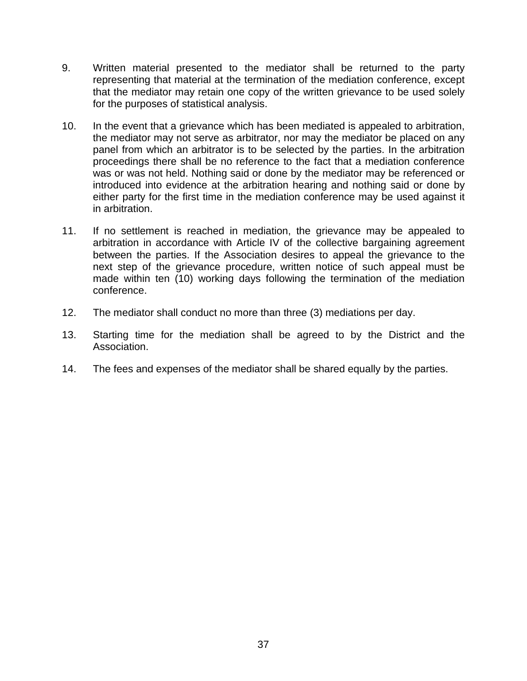- 9. Written material presented to the mediator shall be returned to the party representing that material at the termination of the mediation conference, except that the mediator may retain one copy of the written grievance to be used solely for the purposes of statistical analysis.
- 10. In the event that a grievance which has been mediated is appealed to arbitration, the mediator may not serve as arbitrator, nor may the mediator be placed on any panel from which an arbitrator is to be selected by the parties. In the arbitration proceedings there shall be no reference to the fact that a mediation conference was or was not held. Nothing said or done by the mediator may be referenced or introduced into evidence at the arbitration hearing and nothing said or done by either party for the first time in the mediation conference may be used against it in arbitration.
- 11. If no settlement is reached in mediation, the grievance may be appealed to arbitration in accordance with Article IV of the collective bargaining agreement between the parties. If the Association desires to appeal the grievance to the next step of the grievance procedure, written notice of such appeal must be made within ten (10) working days following the termination of the mediation conference.
- 12. The mediator shall conduct no more than three (3) mediations per day.
- 13. Starting time for the mediation shall be agreed to by the District and the Association.
- 14. The fees and expenses of the mediator shall be shared equally by the parties.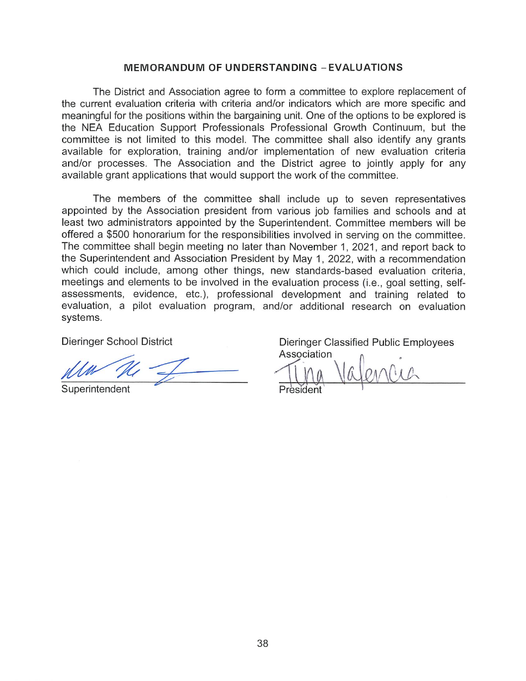#### **MEMORANDUM OF UNDERSTANDING - EVALUATIONS**

The District and Association agree to form a committee to explore replacement of the current evaluation criteria with criteria and/or indicators which are more specific and meaningful for the positions within the bargaining unit. One of the options to be explored is the NEA Education Support Professionals Professional Growth Continuum, but the committee is not limited to this model. The committee shall also identify any grants available for exploration, training and/or implementation of new evaluation criteria and/or processes. The Association and the District agree to jointly apply for any available grant applications that would support the work of the committee.

The members of the committee shall include up to seven representatives appointed by the Association president from various job families and schools and at least two administrators appointed by the Superintendent. Committee members will be offered a \$500 honorarium for the responsibilities involved in serving on the committee. The committee shall begin meeting no later than November 1, 2021, and report back to the Superintendent and Association President by May 1, 2022, with a recommendation which could include, among other things, new standards-based evaluation criteria, meetings and elements to be involved in the evaluation process (i.e., goal setting, selfassessments, evidence, etc.), professional development and training related to evaluation, a pilot evaluation program, and/or additional research on evaluation systems.

**Dieringer School District** 

Superintendent

Dieringer Classified Public Employees Association